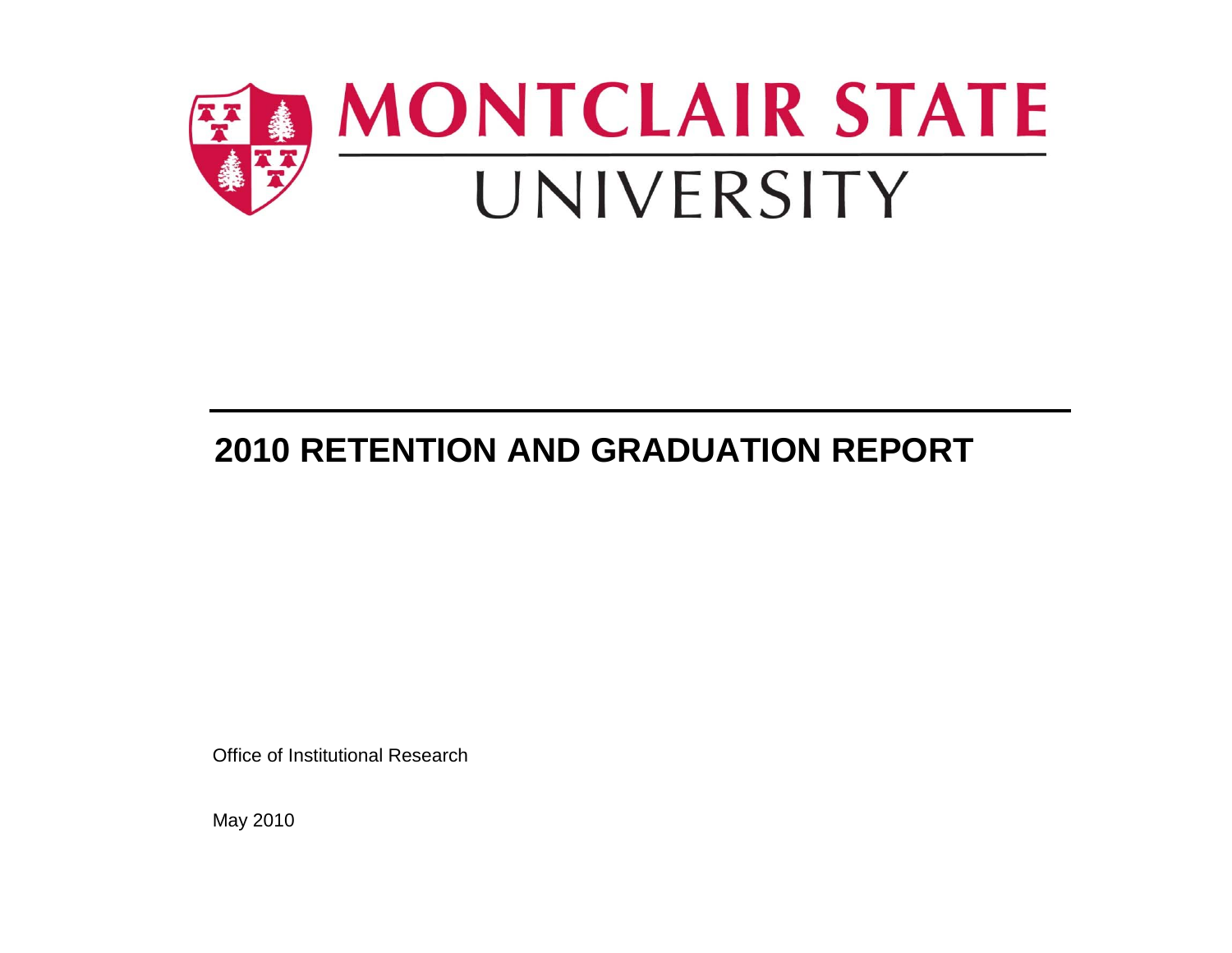

# **2010 RETENTION AND GRADUATION REPORT**

Office of Institutional Research

May 2010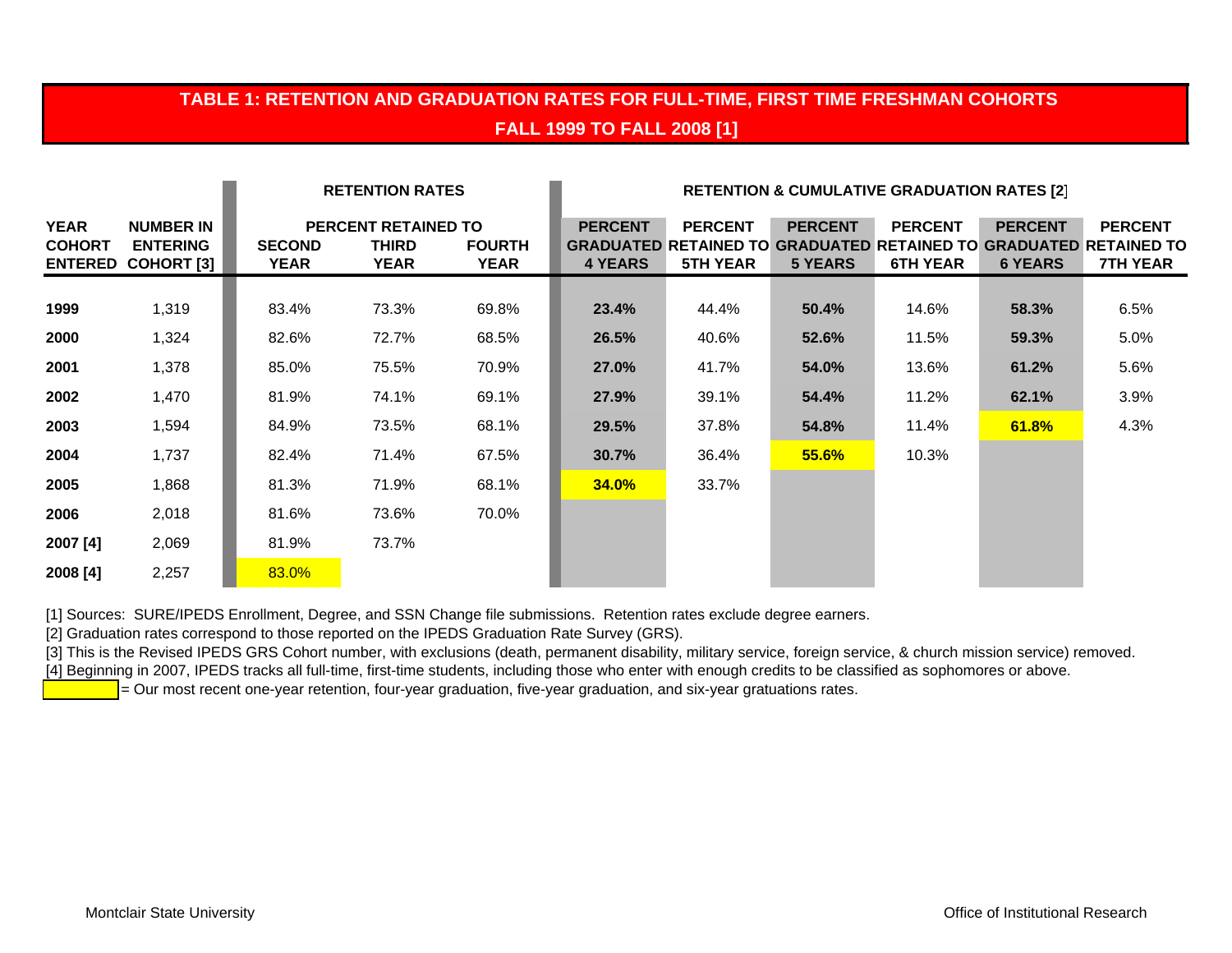#### **TABLE 1: RETENTION AND GRADUATION RATES FOR FULL-TIME, FIRST TIME FRESHMAN COHORTS FALL 1999 TO FALL 2008 [1]**

|                              |                                                                  |                       | <b>RETENTION RATES</b>                      |                              | <b>RETENTION &amp; CUMULATIVE GRADUATION RATES [2]</b> |                                   |                                  |                                   |                                  |                                                                                                               |
|------------------------------|------------------------------------------------------------------|-----------------------|---------------------------------------------|------------------------------|--------------------------------------------------------|-----------------------------------|----------------------------------|-----------------------------------|----------------------------------|---------------------------------------------------------------------------------------------------------------|
| <b>YEAR</b><br><b>COHORT</b> | <b>NUMBER IN</b><br><b>ENTERING</b><br><b>ENTERED COHORT [3]</b> | <b>SECOND</b><br>YEAR | PERCENT RETAINED TO<br>THIRD<br><b>YEAR</b> | <b>FOURTH</b><br><b>YEAR</b> | <b>PERCENT</b><br><b>4 YEARS</b>                       | <b>PERCENT</b><br><b>5TH YEAR</b> | <b>PERCENT</b><br><b>5 YEARS</b> | <b>PERCENT</b><br><b>6TH YEAR</b> | <b>PERCENT</b><br><b>6 YEARS</b> | <b>PERCENT</b><br><b>GRADUATED RETAINED TO GRADUATED RETAINED TO GRADUATED RETAINED TO</b><br><b>7TH YEAR</b> |
| 1999                         | 1,319                                                            | 83.4%                 | 73.3%                                       | 69.8%                        | 23.4%                                                  | 44.4%                             | 50.4%                            | 14.6%                             | 58.3%                            | 6.5%                                                                                                          |
| 2000                         | 1,324                                                            | 82.6%                 | 72.7%                                       | 68.5%                        | 26.5%                                                  | 40.6%                             | 52.6%                            | 11.5%                             | 59.3%                            | 5.0%                                                                                                          |
| 2001                         | 1,378                                                            | 85.0%                 | 75.5%                                       | 70.9%                        | 27.0%                                                  | 41.7%                             | 54.0%                            | 13.6%                             | 61.2%                            | 5.6%                                                                                                          |
| 2002                         | 1,470                                                            | 81.9%                 | 74.1%                                       | 69.1%                        | 27.9%                                                  | 39.1%                             | 54.4%                            | 11.2%                             | 62.1%                            | 3.9%                                                                                                          |
| 2003                         | 1,594                                                            | 84.9%                 | 73.5%                                       | 68.1%                        | 29.5%                                                  | 37.8%                             | 54.8%                            | 11.4%                             | 61.8%                            | 4.3%                                                                                                          |
| 2004                         | 1,737                                                            | 82.4%                 | 71.4%                                       | 67.5%                        | 30.7%                                                  | 36.4%                             | 55.6%                            | 10.3%                             |                                  |                                                                                                               |
| 2005                         | 1,868                                                            | 81.3%                 | 71.9%                                       | 68.1%                        | <b>34.0%</b>                                           | 33.7%                             |                                  |                                   |                                  |                                                                                                               |
| 2006                         | 2,018                                                            | 81.6%                 | 73.6%                                       | 70.0%                        |                                                        |                                   |                                  |                                   |                                  |                                                                                                               |
| 2007 [4]                     | 2,069                                                            | 81.9%                 | 73.7%                                       |                              |                                                        |                                   |                                  |                                   |                                  |                                                                                                               |
| 2008 [4]                     | 2,257                                                            | 83.0%                 |                                             |                              |                                                        |                                   |                                  |                                   |                                  |                                                                                                               |

[1] Sources: SURE/IPEDS Enrollment, Degree, and SSN Change file submissions. Retention rates exclude degree earners.

[2] Graduation rates correspond to those reported on the IPEDS Graduation Rate Survey (GRS).

[3] This is the Revised IPEDS GRS Cohort number, with exclusions (death, permanent disability, military service, foreign service, & church mission service) removed. [4] Beginning in 2007, IPEDS tracks all full-time, first-time students, including those who enter with enough credits to be classified as sophomores or above.

= Our most recent one-year retention, four-year graduation, five-year graduation, and six-year gratuations rates.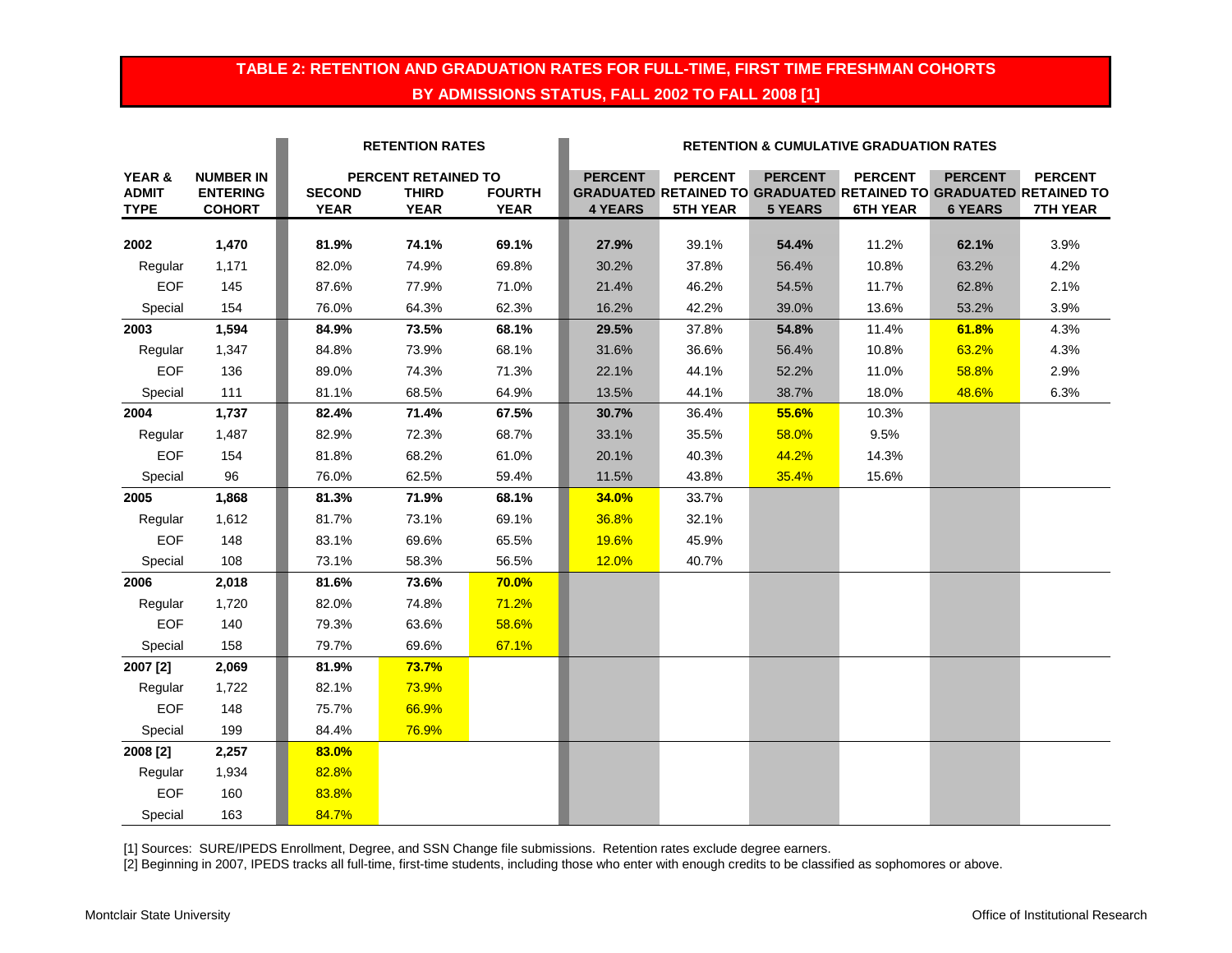#### **TABLE 2: RETENTION AND GRADUATION RATES FOR FULL-TIME, FIRST TIME FRESHMAN COHORTS BY ADMISSIONS STATUS, FALL 2002 TO FALL 2008 [1]**

|              |                  | <b>RETENTION RATES</b> |                     |               | <b>RETENTION &amp; CUMULATIVE GRADUATION RATES</b> |                                                                          |                |                 |                |                 |  |
|--------------|------------------|------------------------|---------------------|---------------|----------------------------------------------------|--------------------------------------------------------------------------|----------------|-----------------|----------------|-----------------|--|
| YEAR &       | <b>NUMBER IN</b> |                        | PERCENT RETAINED TO |               | <b>PERCENT</b>                                     | <b>PERCENT</b>                                                           | <b>PERCENT</b> | <b>PERCENT</b>  | <b>PERCENT</b> | <b>PERCENT</b>  |  |
| <b>ADMIT</b> | <b>ENTERING</b>  | <b>SECOND</b>          | <b>THIRD</b>        | <b>FOURTH</b> |                                                    | <b>GRADUATED RETAINED TO GRADUATED RETAINED TO GRADUATED RETAINED TO</b> |                |                 |                |                 |  |
| <b>TYPE</b>  | <b>COHORT</b>    | <b>YEAR</b>            | <b>YEAR</b>         | <b>YEAR</b>   | <b>4 YEARS</b>                                     | <b>5TH YEAR</b>                                                          | <b>5 YEARS</b> | <b>6TH YEAR</b> | <b>6 YEARS</b> | <b>7TH YEAR</b> |  |
| 2002         | 1,470            | 81.9%                  | 74.1%               | 69.1%         | 27.9%                                              | 39.1%                                                                    | 54.4%          | 11.2%           | 62.1%          | 3.9%            |  |
| Regular      | 1,171            | 82.0%                  | 74.9%               | 69.8%         | 30.2%                                              | 37.8%                                                                    | 56.4%          | 10.8%           | 63.2%          | 4.2%            |  |
| <b>EOF</b>   | 145              | 87.6%                  | 77.9%               | 71.0%         | 21.4%                                              | 46.2%                                                                    | 54.5%          | 11.7%           | 62.8%          | 2.1%            |  |
| Special      | 154              | 76.0%                  | 64.3%               | 62.3%         | 16.2%                                              | 42.2%                                                                    | 39.0%          | 13.6%           | 53.2%          | 3.9%            |  |
| 2003         | 1,594            | 84.9%                  | 73.5%               | 68.1%         | 29.5%                                              | 37.8%                                                                    | 54.8%          | 11.4%           | 61.8%          | 4.3%            |  |
| Regular      | 1,347            | 84.8%                  | 73.9%               | 68.1%         | 31.6%                                              | 36.6%                                                                    | 56.4%          | 10.8%           | 63.2%          | 4.3%            |  |
| <b>EOF</b>   | 136              | 89.0%                  | 74.3%               | 71.3%         | 22.1%                                              | 44.1%                                                                    | 52.2%          | 11.0%           | 58.8%          | 2.9%            |  |
| Special      | 111              | 81.1%                  | 68.5%               | 64.9%         | 13.5%                                              | 44.1%                                                                    | 38.7%          | 18.0%           | 48.6%          | 6.3%            |  |
| 2004         | 1,737            | 82.4%                  | 71.4%               | 67.5%         | 30.7%                                              | 36.4%                                                                    | 55.6%          | 10.3%           |                |                 |  |
| Regular      | 1,487            | 82.9%                  | 72.3%               | 68.7%         | 33.1%                                              | 35.5%                                                                    | 58.0%          | 9.5%            |                |                 |  |
| <b>EOF</b>   | 154              | 81.8%                  | 68.2%               | 61.0%         | 20.1%                                              | 40.3%                                                                    | 44.2%          | 14.3%           |                |                 |  |
| Special      | 96               | 76.0%                  | 62.5%               | 59.4%         | 11.5%                                              | 43.8%                                                                    | 35.4%          | 15.6%           |                |                 |  |
| 2005         | 1,868            | 81.3%                  | 71.9%               | 68.1%         | 34.0%                                              | 33.7%                                                                    |                |                 |                |                 |  |
| Regular      | 1,612            | 81.7%                  | 73.1%               | 69.1%         | 36.8%                                              | 32.1%                                                                    |                |                 |                |                 |  |
| <b>EOF</b>   | 148              | 83.1%                  | 69.6%               | 65.5%         | 19.6%                                              | 45.9%                                                                    |                |                 |                |                 |  |
| Special      | 108              | 73.1%                  | 58.3%               | 56.5%         | 12.0%                                              | 40.7%                                                                    |                |                 |                |                 |  |
| 2006         | 2,018            | 81.6%                  | 73.6%               | 70.0%         |                                                    |                                                                          |                |                 |                |                 |  |
| Regular      | 1,720            | 82.0%                  | 74.8%               | 71.2%         |                                                    |                                                                          |                |                 |                |                 |  |
| <b>EOF</b>   | 140              | 79.3%                  | 63.6%               | 58.6%         |                                                    |                                                                          |                |                 |                |                 |  |
| Special      | 158              | 79.7%                  | 69.6%               | 67.1%         |                                                    |                                                                          |                |                 |                |                 |  |
| 2007 [2]     | 2,069            | 81.9%                  | 73.7%               |               |                                                    |                                                                          |                |                 |                |                 |  |
| Regular      | 1,722            | 82.1%                  | 73.9%               |               |                                                    |                                                                          |                |                 |                |                 |  |
| <b>EOF</b>   | 148              | 75.7%                  | 66.9%               |               |                                                    |                                                                          |                |                 |                |                 |  |
| Special      | 199              | 84.4%                  | 76.9%               |               |                                                    |                                                                          |                |                 |                |                 |  |
| 2008 [2]     | 2,257            | 83.0%                  |                     |               |                                                    |                                                                          |                |                 |                |                 |  |
| Regular      | 1,934            | 82.8%                  |                     |               |                                                    |                                                                          |                |                 |                |                 |  |
| <b>EOF</b>   | 160              | 83.8%                  |                     |               |                                                    |                                                                          |                |                 |                |                 |  |
| Special      | 163              | 84.7%                  |                     |               |                                                    |                                                                          |                |                 |                |                 |  |

[1] Sources: SURE/IPEDS Enrollment, Degree, and SSN Change file submissions. Retention rates exclude degree earners.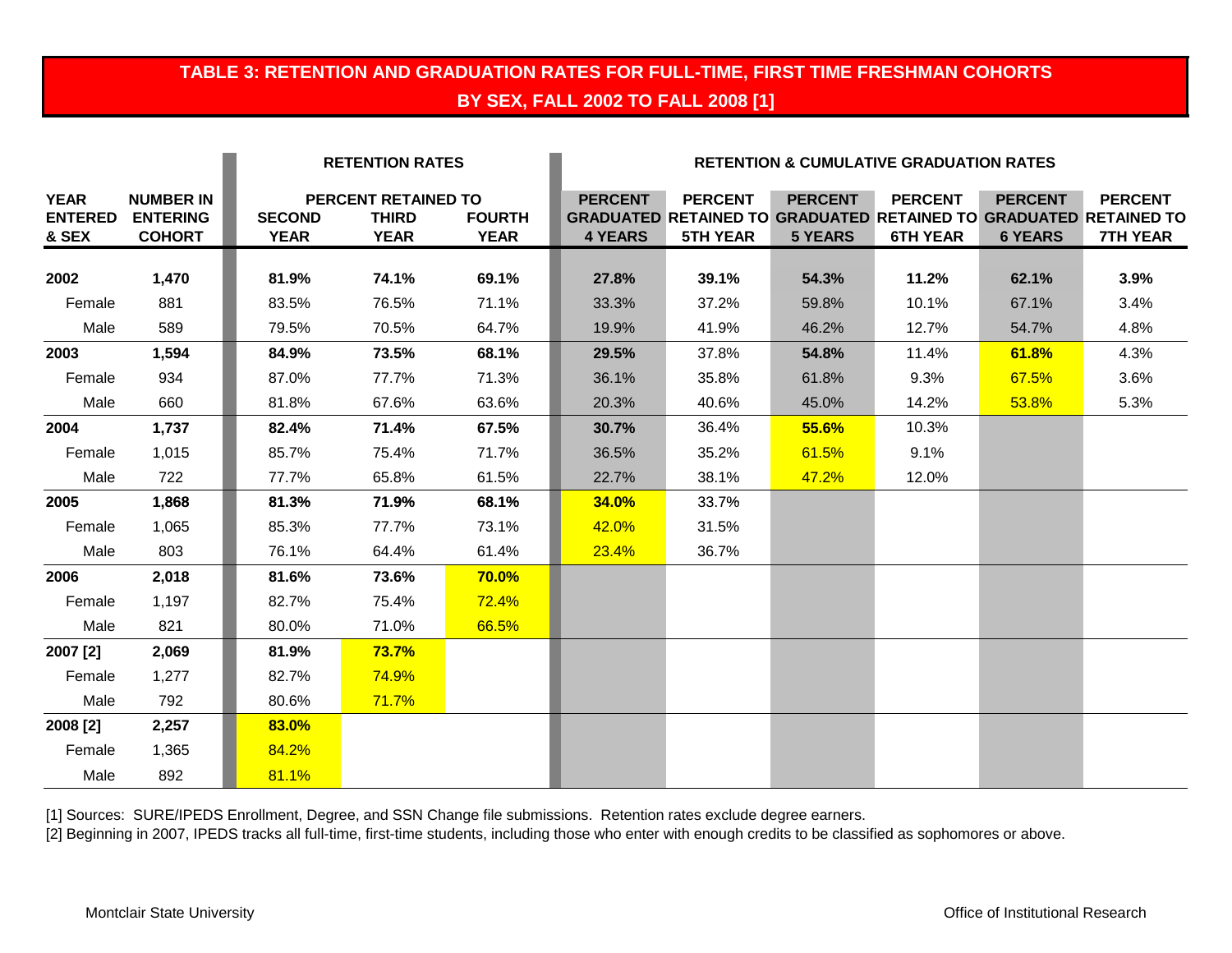#### **TABLE 3: RETENTION AND GRADUATION RATES FOR FULL-TIME, FIRST TIME FRESHMAN COHORTS BY SEX, FALL 2002 TO FALL 2008 [1]**

|                                        |                                                      |                              | <b>RETENTION RATES</b>                             |                              | <b>RETENTION &amp; CUMULATIVE GRADUATION RATES</b> |                                   |                                  |                                   |                                  |                                                                                                               |
|----------------------------------------|------------------------------------------------------|------------------------------|----------------------------------------------------|------------------------------|----------------------------------------------------|-----------------------------------|----------------------------------|-----------------------------------|----------------------------------|---------------------------------------------------------------------------------------------------------------|
| <b>YEAR</b><br><b>ENTERED</b><br>& SEX | <b>NUMBER IN</b><br><b>ENTERING</b><br><b>COHORT</b> | <b>SECOND</b><br><b>YEAR</b> | PERCENT RETAINED TO<br><b>THIRD</b><br><b>YEAR</b> | <b>FOURTH</b><br><b>YEAR</b> | <b>PERCENT</b><br><b>4 YEARS</b>                   | <b>PERCENT</b><br><b>5TH YEAR</b> | <b>PERCENT</b><br><b>5 YEARS</b> | <b>PERCENT</b><br><b>6TH YEAR</b> | <b>PERCENT</b><br><b>6 YEARS</b> | <b>PERCENT</b><br><b>GRADUATED RETAINED TO GRADUATED RETAINED TO GRADUATED RETAINED TO</b><br><b>7TH YEAR</b> |
| 2002                                   | 1,470                                                | 81.9%                        | 74.1%                                              | 69.1%                        | 27.8%                                              | 39.1%                             | 54.3%                            | 11.2%                             | 62.1%                            | 3.9%                                                                                                          |
| Female                                 | 881                                                  | 83.5%                        | 76.5%                                              | 71.1%                        | 33.3%                                              | 37.2%                             | 59.8%                            | 10.1%                             | 67.1%                            | 3.4%                                                                                                          |
| Male                                   | 589                                                  | 79.5%                        | 70.5%                                              | 64.7%                        | 19.9%                                              | 41.9%                             | 46.2%                            | 12.7%                             | 54.7%                            | 4.8%                                                                                                          |
| 2003                                   | 1,594                                                | 84.9%                        | 73.5%                                              | 68.1%                        | 29.5%                                              | 37.8%                             | 54.8%                            | 11.4%                             | 61.8%                            | 4.3%                                                                                                          |
| Female                                 | 934                                                  | 87.0%                        | 77.7%                                              | 71.3%                        | 36.1%                                              | 35.8%                             | 61.8%                            | 9.3%                              | 67.5%                            | 3.6%                                                                                                          |
| Male                                   | 660                                                  | 81.8%                        | 67.6%                                              | 63.6%                        | 20.3%                                              | 40.6%                             | 45.0%                            | 14.2%                             | 53.8%                            | 5.3%                                                                                                          |
| 2004                                   | 1,737                                                | 82.4%                        | 71.4%                                              | 67.5%                        | 30.7%                                              | 36.4%                             | 55.6%                            | 10.3%                             |                                  |                                                                                                               |
| Female                                 | 1,015                                                | 85.7%                        | 75.4%                                              | 71.7%                        | 36.5%                                              | 35.2%                             | 61.5%                            | 9.1%                              |                                  |                                                                                                               |
| Male                                   | 722                                                  | 77.7%                        | 65.8%                                              | 61.5%                        | 22.7%                                              | 38.1%                             | 47.2%                            | 12.0%                             |                                  |                                                                                                               |
| 2005                                   | 1,868                                                | 81.3%                        | 71.9%                                              | 68.1%                        | <b>34.0%</b>                                       | 33.7%                             |                                  |                                   |                                  |                                                                                                               |
| Female                                 | 1,065                                                | 85.3%                        | 77.7%                                              | 73.1%                        | 42.0%                                              | 31.5%                             |                                  |                                   |                                  |                                                                                                               |
| Male                                   | 803                                                  | 76.1%                        | 64.4%                                              | 61.4%                        | 23.4%                                              | 36.7%                             |                                  |                                   |                                  |                                                                                                               |
| 2006                                   | 2,018                                                | 81.6%                        | 73.6%                                              | <b>70.0%</b>                 |                                                    |                                   |                                  |                                   |                                  |                                                                                                               |
| Female                                 | 1,197                                                | 82.7%                        | 75.4%                                              | 72.4%                        |                                                    |                                   |                                  |                                   |                                  |                                                                                                               |
| Male                                   | 821                                                  | 80.0%                        | 71.0%                                              | 66.5%                        |                                                    |                                   |                                  |                                   |                                  |                                                                                                               |
| 2007 [2]                               | 2,069                                                | 81.9%                        | 73.7%                                              |                              |                                                    |                                   |                                  |                                   |                                  |                                                                                                               |
| Female                                 | 1,277                                                | 82.7%                        | <b>74.9%</b>                                       |                              |                                                    |                                   |                                  |                                   |                                  |                                                                                                               |
| Male                                   | 792                                                  | 80.6%                        | 71.7%                                              |                              |                                                    |                                   |                                  |                                   |                                  |                                                                                                               |
| 2008 [2]                               | 2,257                                                | 83.0%                        |                                                    |                              |                                                    |                                   |                                  |                                   |                                  |                                                                                                               |
| Female                                 | 1,365                                                | 84.2%                        |                                                    |                              |                                                    |                                   |                                  |                                   |                                  |                                                                                                               |
| Male                                   | 892                                                  | 81.1%                        |                                                    |                              |                                                    |                                   |                                  |                                   |                                  |                                                                                                               |

[1] Sources: SURE/IPEDS Enrollment, Degree, and SSN Change file submissions. Retention rates exclude degree earners.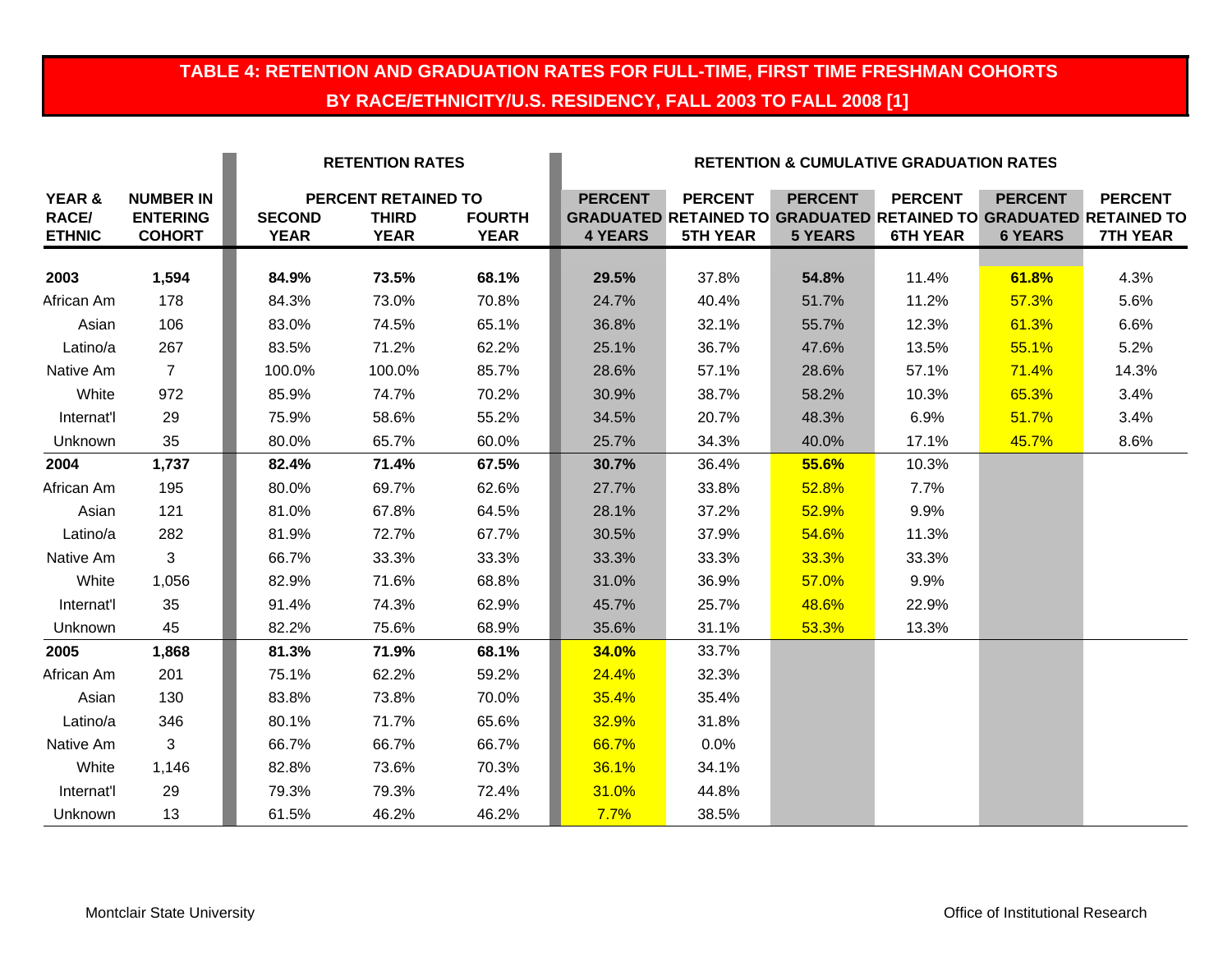# **TABLE 4: RETENTION AND GRADUATION RATES FOR FULL-TIME, FIRST TIME FRESHMAN COHORTS BY RACE/ETHNICITY/U.S. RESIDENCY, FALL 2003 TO FALL 2008 [1]**

|                                                    |                                                      | <b>RETENTION RATES</b>       |                                                           |                              | <b>RETENTION &amp; CUMULATIVE GRADUATION RATES</b> |                                   |                                  |                                   |                                  |                                                                                                               |  |
|----------------------------------------------------|------------------------------------------------------|------------------------------|-----------------------------------------------------------|------------------------------|----------------------------------------------------|-----------------------------------|----------------------------------|-----------------------------------|----------------------------------|---------------------------------------------------------------------------------------------------------------|--|
| <b>YEAR &amp;</b><br><b>RACE/</b><br><b>ETHNIC</b> | <b>NUMBER IN</b><br><b>ENTERING</b><br><b>COHORT</b> | <b>SECOND</b><br><b>YEAR</b> | <b>PERCENT RETAINED TO</b><br><b>THIRD</b><br><b>YEAR</b> | <b>FOURTH</b><br><b>YEAR</b> | <b>PERCENT</b><br><b>4 YEARS</b>                   | <b>PERCENT</b><br><b>5TH YEAR</b> | <b>PERCENT</b><br><b>5 YEARS</b> | <b>PERCENT</b><br><b>6TH YEAR</b> | <b>PERCENT</b><br><b>6 YEARS</b> | <b>PERCENT</b><br><b>GRADUATED RETAINED TO GRADUATED RETAINED TO GRADUATED RETAINED TO</b><br><b>7TH YEAR</b> |  |
| 2003                                               | 1,594                                                | 84.9%                        | 73.5%                                                     | 68.1%                        | 29.5%                                              | 37.8%                             | 54.8%                            | 11.4%                             | 61.8%                            | 4.3%                                                                                                          |  |
| African Am                                         | 178                                                  | 84.3%                        | 73.0%                                                     | 70.8%                        | 24.7%                                              | 40.4%                             | 51.7%                            | 11.2%                             | 57.3%                            | 5.6%                                                                                                          |  |
| Asian                                              | 106                                                  | 83.0%                        | 74.5%                                                     | 65.1%                        | 36.8%                                              | 32.1%                             | 55.7%                            | 12.3%                             | 61.3%                            | 6.6%                                                                                                          |  |
| Latino/a                                           | 267                                                  | 83.5%                        | 71.2%                                                     | 62.2%                        | 25.1%                                              | 36.7%                             | 47.6%                            | 13.5%                             | 55.1%                            | 5.2%                                                                                                          |  |
| Native Am                                          | $\overline{7}$                                       | 100.0%                       | 100.0%                                                    | 85.7%                        | 28.6%                                              | 57.1%                             | 28.6%                            | 57.1%                             | <b>71.4%</b>                     | 14.3%                                                                                                         |  |
| White                                              | 972                                                  | 85.9%                        | 74.7%                                                     | 70.2%                        | 30.9%                                              | 38.7%                             | 58.2%                            | 10.3%                             | 65.3%                            | 3.4%                                                                                                          |  |
| Internat'l                                         | 29                                                   | 75.9%                        | 58.6%                                                     | 55.2%                        | 34.5%                                              | 20.7%                             | 48.3%                            | 6.9%                              | 51.7%                            | 3.4%                                                                                                          |  |
| Unknown                                            | 35                                                   | 80.0%                        | 65.7%                                                     | 60.0%                        | 25.7%                                              | 34.3%                             | 40.0%                            | 17.1%                             | 45.7%                            | 8.6%                                                                                                          |  |
| 2004                                               | 1,737                                                | 82.4%                        | 71.4%                                                     | 67.5%                        | 30.7%                                              | 36.4%                             | 55.6%                            | 10.3%                             |                                  |                                                                                                               |  |
| African Am                                         | 195                                                  | 80.0%                        | 69.7%                                                     | 62.6%                        | 27.7%                                              | 33.8%                             | 52.8%                            | 7.7%                              |                                  |                                                                                                               |  |
| Asian                                              | 121                                                  | 81.0%                        | 67.8%                                                     | 64.5%                        | 28.1%                                              | 37.2%                             | 52.9%                            | 9.9%                              |                                  |                                                                                                               |  |
| Latino/a                                           | 282                                                  | 81.9%                        | 72.7%                                                     | 67.7%                        | 30.5%                                              | 37.9%                             | 54.6%                            | 11.3%                             |                                  |                                                                                                               |  |
| Native Am                                          | 3                                                    | 66.7%                        | 33.3%                                                     | 33.3%                        | 33.3%                                              | 33.3%                             | 33.3%                            | 33.3%                             |                                  |                                                                                                               |  |
| White                                              | 1,056                                                | 82.9%                        | 71.6%                                                     | 68.8%                        | 31.0%                                              | 36.9%                             | 57.0%                            | 9.9%                              |                                  |                                                                                                               |  |
| Internat'l                                         | 35                                                   | 91.4%                        | 74.3%                                                     | 62.9%                        | 45.7%                                              | 25.7%                             | 48.6%                            | 22.9%                             |                                  |                                                                                                               |  |
| Unknown                                            | 45                                                   | 82.2%                        | 75.6%                                                     | 68.9%                        | 35.6%                                              | 31.1%                             | 53.3%                            | 13.3%                             |                                  |                                                                                                               |  |
| 2005                                               | 1,868                                                | 81.3%                        | 71.9%                                                     | 68.1%                        | 34.0%                                              | 33.7%                             |                                  |                                   |                                  |                                                                                                               |  |
| African Am                                         | 201                                                  | 75.1%                        | 62.2%                                                     | 59.2%                        | 24.4%                                              | 32.3%                             |                                  |                                   |                                  |                                                                                                               |  |
| Asian                                              | 130                                                  | 83.8%                        | 73.8%                                                     | 70.0%                        | 35.4%                                              | 35.4%                             |                                  |                                   |                                  |                                                                                                               |  |
| Latino/a                                           | 346                                                  | 80.1%                        | 71.7%                                                     | 65.6%                        | 32.9%                                              | 31.8%                             |                                  |                                   |                                  |                                                                                                               |  |
| Native Am                                          | 3                                                    | 66.7%                        | 66.7%                                                     | 66.7%                        | 66.7%                                              | 0.0%                              |                                  |                                   |                                  |                                                                                                               |  |
| White                                              | 1,146                                                | 82.8%                        | 73.6%                                                     | 70.3%                        | 36.1%                                              | 34.1%                             |                                  |                                   |                                  |                                                                                                               |  |
| Internat'l                                         | 29                                                   | 79.3%                        | 79.3%                                                     | 72.4%                        | 31.0%                                              | 44.8%                             |                                  |                                   |                                  |                                                                                                               |  |
| Unknown                                            | 13                                                   | 61.5%                        | 46.2%                                                     | 46.2%                        | 7.7%                                               | 38.5%                             |                                  |                                   |                                  |                                                                                                               |  |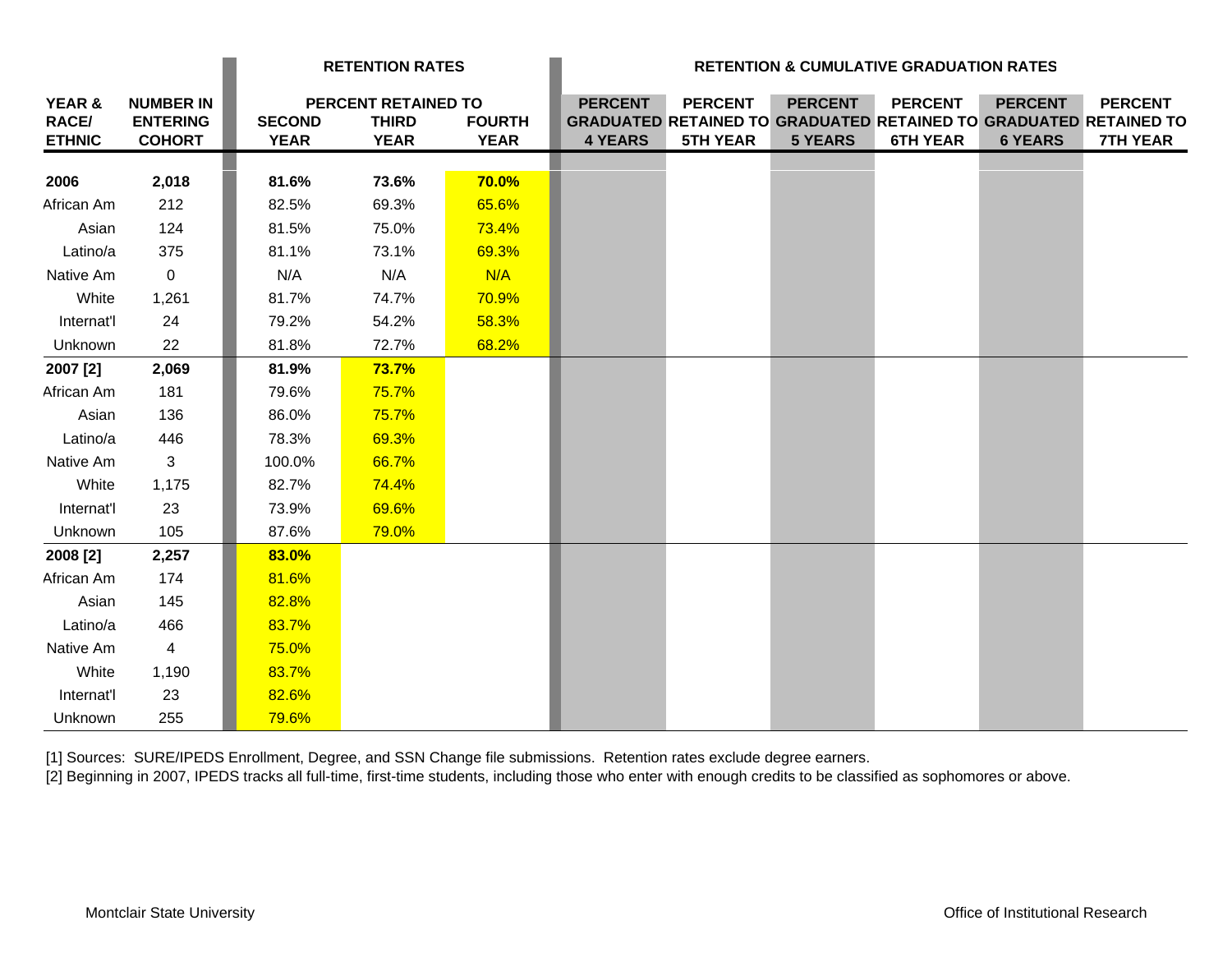|                                         |                                                      | <b>RETENTION RATES</b>       |                                                    | <b>RETENTION &amp; CUMULATIVE GRADUATION RATES</b> |                                  |                                   |                                  |                                   |                                  |                                                                                                               |
|-----------------------------------------|------------------------------------------------------|------------------------------|----------------------------------------------------|----------------------------------------------------|----------------------------------|-----------------------------------|----------------------------------|-----------------------------------|----------------------------------|---------------------------------------------------------------------------------------------------------------|
| YEAR &<br><b>RACE/</b><br><b>ETHNIC</b> | <b>NUMBER IN</b><br><b>ENTERING</b><br><b>COHORT</b> | <b>SECOND</b><br><b>YEAR</b> | PERCENT RETAINED TO<br><b>THIRD</b><br><b>YEAR</b> | <b>FOURTH</b><br><b>YEAR</b>                       | <b>PERCENT</b><br><b>4 YEARS</b> | <b>PERCENT</b><br><b>5TH YEAR</b> | <b>PERCENT</b><br><b>5 YEARS</b> | <b>PERCENT</b><br><b>6TH YEAR</b> | <b>PERCENT</b><br><b>6 YEARS</b> | <b>PERCENT</b><br><b>GRADUATED RETAINED TO GRADUATED RETAINED TO GRADUATED RETAINED TO</b><br><b>7TH YEAR</b> |
| 2006                                    | 2,018                                                | 81.6%                        | 73.6%                                              | <b>70.0%</b>                                       |                                  |                                   |                                  |                                   |                                  |                                                                                                               |
| African Am                              | 212                                                  | 82.5%                        | 69.3%                                              | 65.6%                                              |                                  |                                   |                                  |                                   |                                  |                                                                                                               |
| Asian                                   | 124                                                  | 81.5%                        | 75.0%                                              | 73.4%                                              |                                  |                                   |                                  |                                   |                                  |                                                                                                               |
| Latino/a                                | 375                                                  | 81.1%                        | 73.1%                                              | 69.3%                                              |                                  |                                   |                                  |                                   |                                  |                                                                                                               |
| Native Am                               | $\mathbf 0$                                          | N/A                          | N/A                                                | N/A                                                |                                  |                                   |                                  |                                   |                                  |                                                                                                               |
| White                                   | 1,261                                                | 81.7%                        | 74.7%                                              | 70.9%                                              |                                  |                                   |                                  |                                   |                                  |                                                                                                               |
| Internat'l                              | 24                                                   | 79.2%                        | 54.2%                                              | 58.3%                                              |                                  |                                   |                                  |                                   |                                  |                                                                                                               |
| Unknown                                 | 22                                                   | 81.8%                        | 72.7%                                              | 68.2%                                              |                                  |                                   |                                  |                                   |                                  |                                                                                                               |
| 2007 [2]                                | 2,069                                                | 81.9%                        | 73.7%                                              |                                                    |                                  |                                   |                                  |                                   |                                  |                                                                                                               |
| African Am                              | 181                                                  | 79.6%                        | 75.7%                                              |                                                    |                                  |                                   |                                  |                                   |                                  |                                                                                                               |
| Asian                                   | 136                                                  | 86.0%                        | 75.7%                                              |                                                    |                                  |                                   |                                  |                                   |                                  |                                                                                                               |
| Latino/a                                | 446                                                  | 78.3%                        | 69.3%                                              |                                                    |                                  |                                   |                                  |                                   |                                  |                                                                                                               |
| Native Am                               | 3                                                    | 100.0%                       | 66.7%                                              |                                                    |                                  |                                   |                                  |                                   |                                  |                                                                                                               |
| White                                   | 1,175                                                | 82.7%                        | 74.4%                                              |                                                    |                                  |                                   |                                  |                                   |                                  |                                                                                                               |
| Internat'l                              | 23                                                   | 73.9%                        | 69.6%                                              |                                                    |                                  |                                   |                                  |                                   |                                  |                                                                                                               |
| Unknown                                 | 105                                                  | 87.6%                        | 79.0%                                              |                                                    |                                  |                                   |                                  |                                   |                                  |                                                                                                               |
| 2008 [2]                                | 2,257                                                | 83.0%                        |                                                    |                                                    |                                  |                                   |                                  |                                   |                                  |                                                                                                               |
| African Am                              | 174                                                  | 81.6%                        |                                                    |                                                    |                                  |                                   |                                  |                                   |                                  |                                                                                                               |
| Asian                                   | 145                                                  | 82.8%                        |                                                    |                                                    |                                  |                                   |                                  |                                   |                                  |                                                                                                               |
| Latino/a                                | 466                                                  | 83.7%                        |                                                    |                                                    |                                  |                                   |                                  |                                   |                                  |                                                                                                               |
| Native Am                               | $\overline{4}$                                       | 75.0%                        |                                                    |                                                    |                                  |                                   |                                  |                                   |                                  |                                                                                                               |
| White                                   | 1,190                                                | 83.7%                        |                                                    |                                                    |                                  |                                   |                                  |                                   |                                  |                                                                                                               |
| Internat'l                              | 23                                                   | 82.6%                        |                                                    |                                                    |                                  |                                   |                                  |                                   |                                  |                                                                                                               |
| Unknown                                 | 255                                                  | 79.6%                        |                                                    |                                                    |                                  |                                   |                                  |                                   |                                  |                                                                                                               |

[1] Sources: SURE/IPEDS Enrollment, Degree, and SSN Change file submissions. Retention rates exclude degree earners.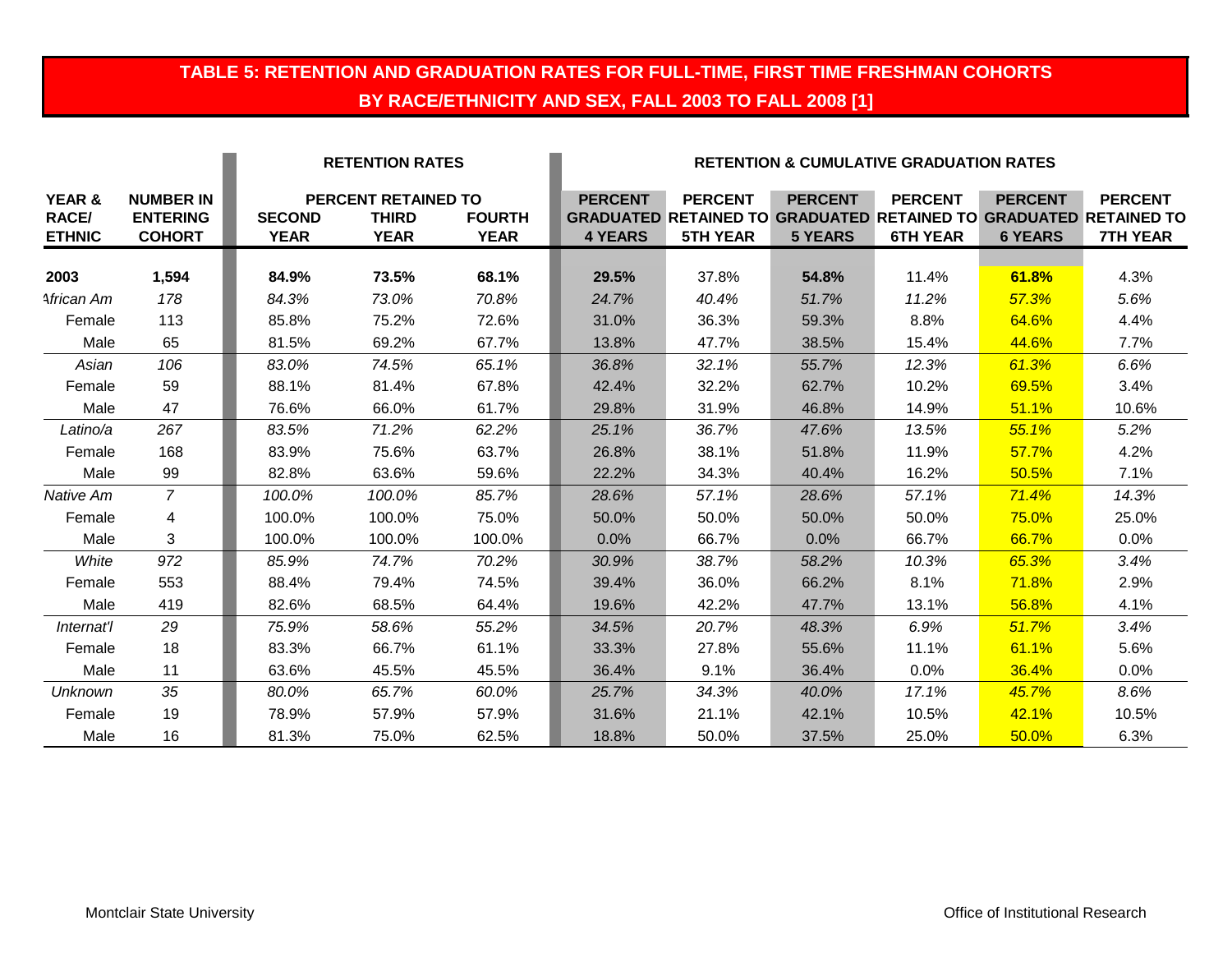# **TABLE 5: RETENTION AND GRADUATION RATES FOR FULL-TIME, FIRST TIME FRESHMAN COHORTS BY RACE/ETHNICITY AND SEX, FALL 2003 TO FALL 2008 [1]**

|                                         |                                                      | <b>RETENTION RATES</b>       |                                                           |                              | <b>RETENTION &amp; CUMULATIVE GRADUATION RATES</b> |                                                                                                               |                                  |                                   |                                  |                                   |
|-----------------------------------------|------------------------------------------------------|------------------------------|-----------------------------------------------------------|------------------------------|----------------------------------------------------|---------------------------------------------------------------------------------------------------------------|----------------------------------|-----------------------------------|----------------------------------|-----------------------------------|
| YEAR &<br><b>RACE/</b><br><b>ETHNIC</b> | <b>NUMBER IN</b><br><b>ENTERING</b><br><b>COHORT</b> | <b>SECOND</b><br><b>YEAR</b> | <b>PERCENT RETAINED TO</b><br><b>THIRD</b><br><b>YEAR</b> | <b>FOURTH</b><br><b>YEAR</b> | <b>PERCENT</b><br><b>4 YEARS</b>                   | <b>PERCENT</b><br><b>GRADUATED RETAINED TO GRADUATED RETAINED TO GRADUATED RETAINED TO</b><br><b>5TH YEAR</b> | <b>PERCENT</b><br><b>5 YEARS</b> | <b>PERCENT</b><br><b>6TH YEAR</b> | <b>PERCENT</b><br><b>6 YEARS</b> | <b>PERCENT</b><br><b>7TH YEAR</b> |
|                                         |                                                      |                              |                                                           |                              |                                                    |                                                                                                               |                                  |                                   |                                  |                                   |
| 2003                                    | 1,594                                                | 84.9%                        | 73.5%                                                     | 68.1%                        | 29.5%                                              | 37.8%                                                                                                         | 54.8%                            | 11.4%                             | 61.8%                            | 4.3%                              |
| African Am                              | 178                                                  | 84.3%                        | 73.0%                                                     | 70.8%                        | 24.7%                                              | 40.4%                                                                                                         | 51.7%                            | 11.2%                             | 57.3%                            | 5.6%                              |
| Female                                  | 113                                                  | 85.8%                        | 75.2%                                                     | 72.6%                        | 31.0%                                              | 36.3%                                                                                                         | 59.3%                            | 8.8%                              | 64.6%                            | 4.4%                              |
| Male                                    | 65                                                   | 81.5%                        | 69.2%                                                     | 67.7%                        | 13.8%                                              | 47.7%                                                                                                         | 38.5%                            | 15.4%                             | 44.6%                            | 7.7%                              |
| Asian                                   | 106                                                  | 83.0%                        | 74.5%                                                     | 65.1%                        | 36.8%                                              | 32.1%                                                                                                         | 55.7%                            | 12.3%                             | 61.3%                            | 6.6%                              |
| Female                                  | 59                                                   | 88.1%                        | 81.4%                                                     | 67.8%                        | 42.4%                                              | 32.2%                                                                                                         | 62.7%                            | 10.2%                             | 69.5%                            | 3.4%                              |
| Male                                    | 47                                                   | 76.6%                        | 66.0%                                                     | 61.7%                        | 29.8%                                              | 31.9%                                                                                                         | 46.8%                            | 14.9%                             | 51.1%                            | 10.6%                             |
| Latino/a                                | 267                                                  | 83.5%                        | 71.2%                                                     | 62.2%                        | 25.1%                                              | 36.7%                                                                                                         | 47.6%                            | 13.5%                             | 55.1%                            | 5.2%                              |
| Female                                  | 168                                                  | 83.9%                        | 75.6%                                                     | 63.7%                        | 26.8%                                              | 38.1%                                                                                                         | 51.8%                            | 11.9%                             | 57.7%                            | 4.2%                              |
| Male                                    | 99                                                   | 82.8%                        | 63.6%                                                     | 59.6%                        | 22.2%                                              | 34.3%                                                                                                         | 40.4%                            | 16.2%                             | 50.5%                            | 7.1%                              |
| Native Am                               | $\overline{7}$                                       | 100.0%                       | 100.0%                                                    | 85.7%                        | 28.6%                                              | 57.1%                                                                                                         | 28.6%                            | 57.1%                             | 71.4%                            | 14.3%                             |
| Female                                  | 4                                                    | 100.0%                       | 100.0%                                                    | 75.0%                        | 50.0%                                              | 50.0%                                                                                                         | 50.0%                            | 50.0%                             | 75.0%                            | 25.0%                             |
| Male                                    | 3                                                    | 100.0%                       | 100.0%                                                    | 100.0%                       | 0.0%                                               | 66.7%                                                                                                         | 0.0%                             | 66.7%                             | 66.7%                            | 0.0%                              |
| White                                   | 972                                                  | 85.9%                        | 74.7%                                                     | 70.2%                        | 30.9%                                              | 38.7%                                                                                                         | 58.2%                            | 10.3%                             | 65.3%                            | 3.4%                              |
| Female                                  | 553                                                  | 88.4%                        | 79.4%                                                     | 74.5%                        | 39.4%                                              | 36.0%                                                                                                         | 66.2%                            | 8.1%                              | 71.8%                            | 2.9%                              |
| Male                                    | 419                                                  | 82.6%                        | 68.5%                                                     | 64.4%                        | 19.6%                                              | 42.2%                                                                                                         | 47.7%                            | 13.1%                             | 56.8%                            | 4.1%                              |
| Internat'l                              | 29                                                   | 75.9%                        | 58.6%                                                     | 55.2%                        | 34.5%                                              | 20.7%                                                                                                         | 48.3%                            | 6.9%                              | 51.7%                            | 3.4%                              |
| Female                                  | 18                                                   | 83.3%                        | 66.7%                                                     | 61.1%                        | 33.3%                                              | 27.8%                                                                                                         | 55.6%                            | 11.1%                             | 61.1%                            | 5.6%                              |
| Male                                    | 11                                                   | 63.6%                        | 45.5%                                                     | 45.5%                        | 36.4%                                              | 9.1%                                                                                                          | 36.4%                            | $0.0\%$                           | 36.4%                            | 0.0%                              |
| Unknown                                 | 35                                                   | 80.0%                        | 65.7%                                                     | 60.0%                        | 25.7%                                              | 34.3%                                                                                                         | 40.0%                            | 17.1%                             | 45.7%                            | 8.6%                              |
| Female                                  | 19                                                   | 78.9%                        | 57.9%                                                     | 57.9%                        | 31.6%                                              | 21.1%                                                                                                         | 42.1%                            | 10.5%                             | 42.1%                            | 10.5%                             |
| Male                                    | 16                                                   | 81.3%                        | 75.0%                                                     | 62.5%                        | 18.8%                                              | 50.0%                                                                                                         | 37.5%                            | 25.0%                             | 50.0%                            | 6.3%                              |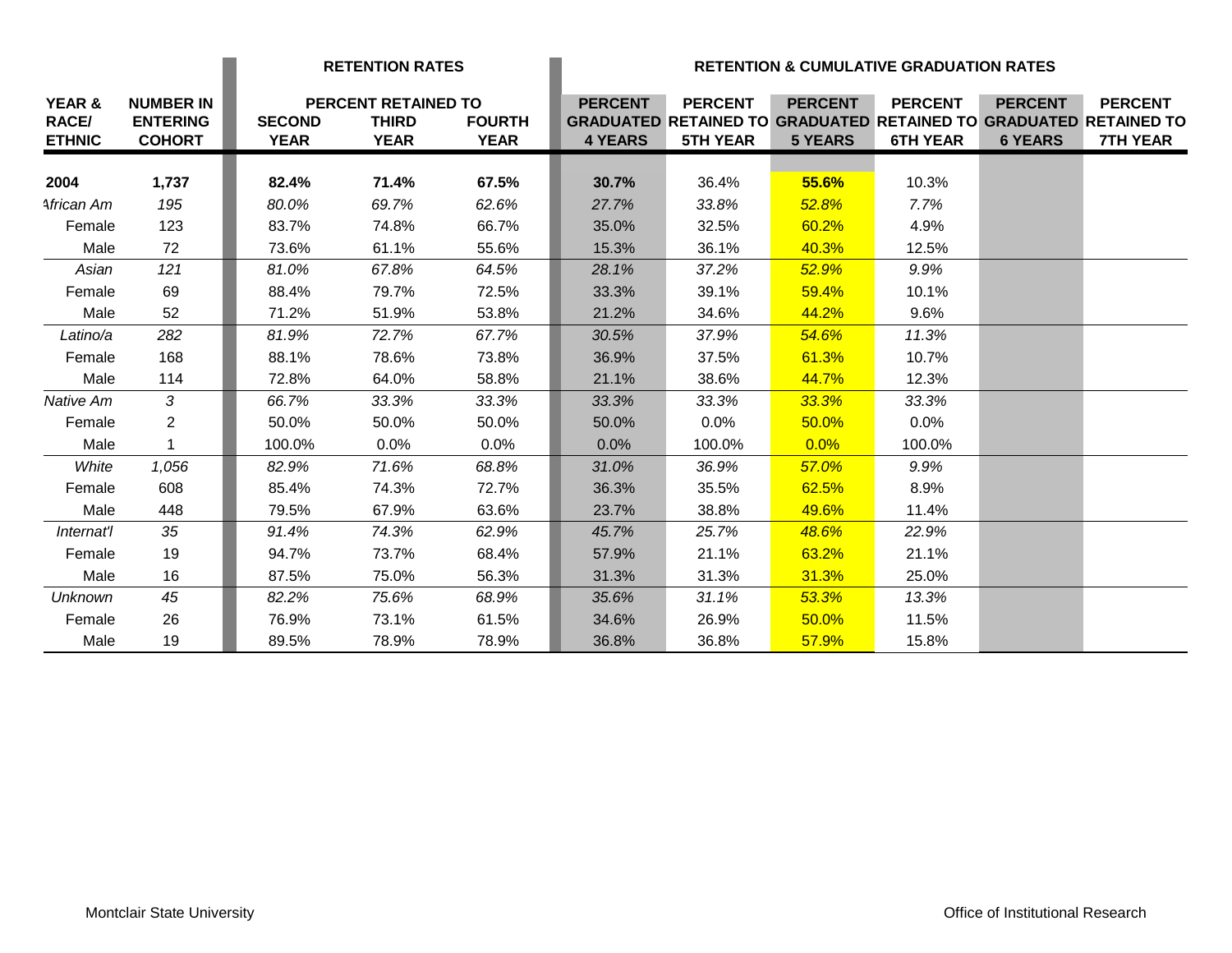|                        |                                     |               | <b>RETENTION RATES</b>              |               | <b>RETENTION &amp; CUMULATIVE GRADUATION RATES</b> |                                                                                            |                |                 |                |                 |
|------------------------|-------------------------------------|---------------|-------------------------------------|---------------|----------------------------------------------------|--------------------------------------------------------------------------------------------|----------------|-----------------|----------------|-----------------|
| YEAR &<br><b>RACE/</b> | <b>NUMBER IN</b><br><b>ENTERING</b> | <b>SECOND</b> | PERCENT RETAINED TO<br><b>THIRD</b> | <b>FOURTH</b> | <b>PERCENT</b>                                     | <b>PERCENT</b><br><b>GRADUATED RETAINED TO GRADUATED RETAINED TO GRADUATED RETAINED TO</b> | <b>PERCENT</b> | <b>PERCENT</b>  | <b>PERCENT</b> | <b>PERCENT</b>  |
| <b>ETHNIC</b>          | <b>COHORT</b>                       | <b>YEAR</b>   | <b>YEAR</b>                         | <b>YEAR</b>   | <b>4 YEARS</b>                                     | <b>5TH YEAR</b>                                                                            | <b>5 YEARS</b> | <b>6TH YEAR</b> | <b>6 YEARS</b> | <b>7TH YEAR</b> |
|                        |                                     |               |                                     |               |                                                    |                                                                                            |                |                 |                |                 |
| 2004                   | 1,737                               | 82.4%         | 71.4%                               | 67.5%         | 30.7%                                              | 36.4%                                                                                      | 55.6%          | 10.3%           |                |                 |
| African Am             | 195                                 | 80.0%         | 69.7%                               | 62.6%         | 27.7%                                              | 33.8%                                                                                      | 52.8%          | 7.7%            |                |                 |
| Female                 | 123                                 | 83.7%         | 74.8%                               | 66.7%         | 35.0%                                              | 32.5%                                                                                      | 60.2%          | 4.9%            |                |                 |
| Male                   | 72                                  | 73.6%         | 61.1%                               | 55.6%         | 15.3%                                              | 36.1%                                                                                      | 40.3%          | 12.5%           |                |                 |
| Asian                  | 121                                 | 81.0%         | 67.8%                               | 64.5%         | 28.1%                                              | 37.2%                                                                                      | 52.9%          | 9.9%            |                |                 |
| Female                 | 69                                  | 88.4%         | 79.7%                               | 72.5%         | 33.3%                                              | 39.1%                                                                                      | 59.4%          | 10.1%           |                |                 |
| Male                   | 52                                  | 71.2%         | 51.9%                               | 53.8%         | 21.2%                                              | 34.6%                                                                                      | 44.2%          | 9.6%            |                |                 |
| Latino/a               | 282                                 | 81.9%         | 72.7%                               | 67.7%         | 30.5%                                              | 37.9%                                                                                      | 54.6%          | 11.3%           |                |                 |
| Female                 | 168                                 | 88.1%         | 78.6%                               | 73.8%         | 36.9%                                              | 37.5%                                                                                      | 61.3%          | 10.7%           |                |                 |
| Male                   | 114                                 | 72.8%         | 64.0%                               | 58.8%         | 21.1%                                              | 38.6%                                                                                      | 44.7%          | 12.3%           |                |                 |
| Native Am              | 3                                   | 66.7%         | 33.3%                               | 33.3%         | 33.3%                                              | 33.3%                                                                                      | 33.3%          | 33.3%           |                |                 |
| Female                 | $\overline{2}$                      | 50.0%         | 50.0%                               | 50.0%         | 50.0%                                              | 0.0%                                                                                       | 50.0%          | 0.0%            |                |                 |
| Male                   | 1                                   | 100.0%        | 0.0%                                | $0.0\%$       | 0.0%                                               | 100.0%                                                                                     | 0.0%           | 100.0%          |                |                 |
| White                  | 1,056                               | 82.9%         | 71.6%                               | 68.8%         | 31.0%                                              | 36.9%                                                                                      | 57.0%          | 9.9%            |                |                 |
| Female                 | 608                                 | 85.4%         | 74.3%                               | 72.7%         | 36.3%                                              | 35.5%                                                                                      | 62.5%          | 8.9%            |                |                 |
| Male                   | 448                                 | 79.5%         | 67.9%                               | 63.6%         | 23.7%                                              | 38.8%                                                                                      | 49.6%          | 11.4%           |                |                 |
| Internat'l             | 35                                  | 91.4%         | 74.3%                               | 62.9%         | 45.7%                                              | 25.7%                                                                                      | 48.6%          | 22.9%           |                |                 |
| Female                 | 19                                  | 94.7%         | 73.7%                               | 68.4%         | 57.9%                                              | 21.1%                                                                                      | 63.2%          | 21.1%           |                |                 |
| Male                   | 16                                  | 87.5%         | 75.0%                               | 56.3%         | 31.3%                                              | 31.3%                                                                                      | 31.3%          | 25.0%           |                |                 |
| <b>Unknown</b>         | 45                                  | 82.2%         | 75.6%                               | 68.9%         | 35.6%                                              | 31.1%                                                                                      | 53.3%          | 13.3%           |                |                 |
| Female                 | 26                                  | 76.9%         | 73.1%                               | 61.5%         | 34.6%                                              | 26.9%                                                                                      | 50.0%          | 11.5%           |                |                 |
| Male                   | 19                                  | 89.5%         | 78.9%                               | 78.9%         | 36.8%                                              | 36.8%                                                                                      | 57.9%          | 15.8%           |                |                 |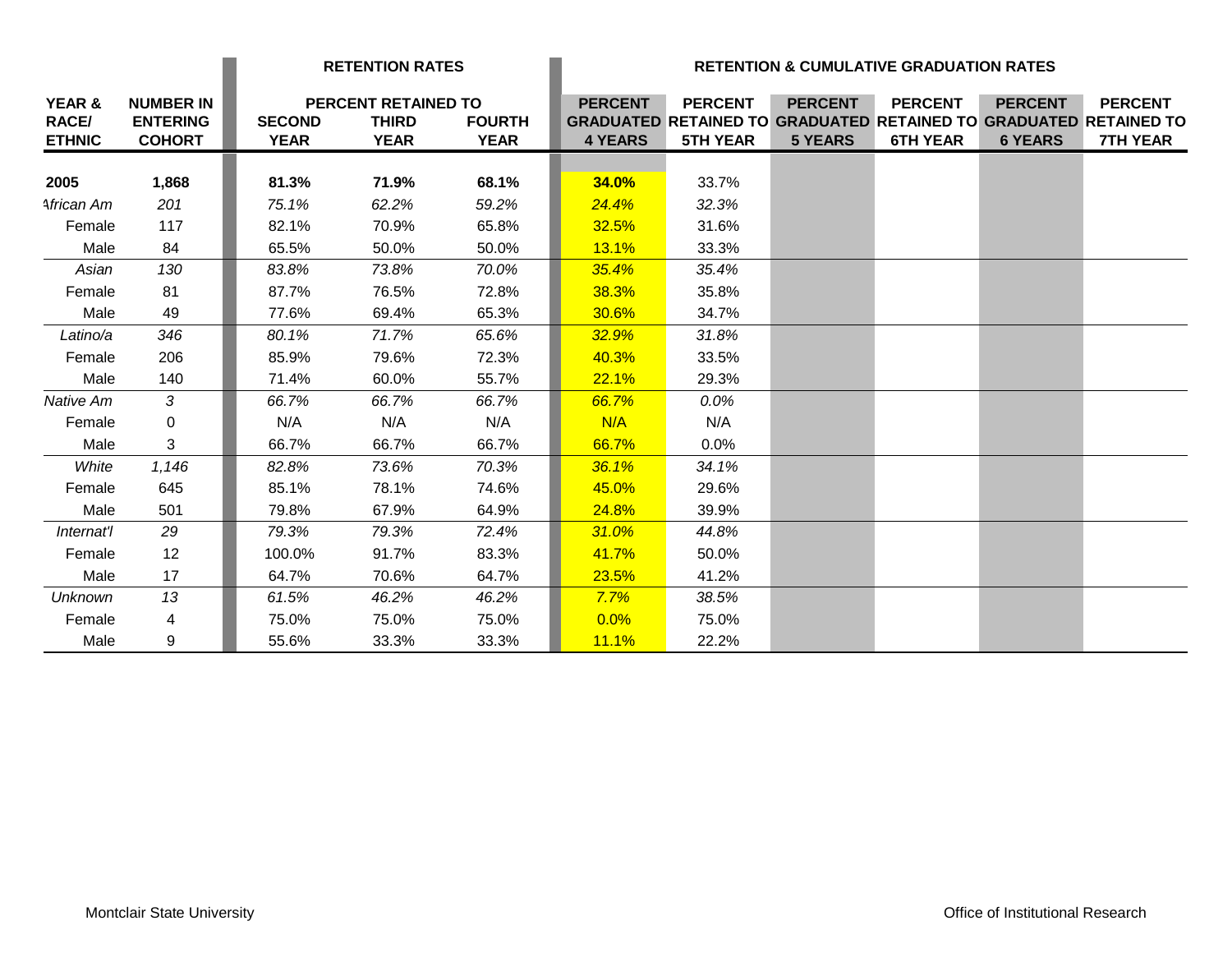|                        |                                     | <b>RETENTION RATES</b> |                                     |               |                |                                                                                            |                | <b>RETENTION &amp; CUMULATIVE GRADUATION RATES</b> |                |                 |
|------------------------|-------------------------------------|------------------------|-------------------------------------|---------------|----------------|--------------------------------------------------------------------------------------------|----------------|----------------------------------------------------|----------------|-----------------|
| YEAR &<br><b>RACE/</b> | <b>NUMBER IN</b><br><b>ENTERING</b> | <b>SECOND</b>          | PERCENT RETAINED TO<br><b>THIRD</b> | <b>FOURTH</b> | <b>PERCENT</b> | <b>PERCENT</b><br><b>GRADUATED RETAINED TO GRADUATED RETAINED TO GRADUATED RETAINED TO</b> | <b>PERCENT</b> | <b>PERCENT</b>                                     | <b>PERCENT</b> | <b>PERCENT</b>  |
| <b>ETHNIC</b>          | <b>COHORT</b>                       | <b>YEAR</b>            | <b>YEAR</b>                         | <b>YEAR</b>   | <b>4 YEARS</b> | <b>5TH YEAR</b>                                                                            | <b>5 YEARS</b> | <b>6TH YEAR</b>                                    | <b>6 YEARS</b> | <b>7TH YEAR</b> |
|                        |                                     |                        |                                     |               |                |                                                                                            |                |                                                    |                |                 |
| 2005                   | 1,868                               | 81.3%                  | 71.9%                               | 68.1%         | 34.0%          | 33.7%                                                                                      |                |                                                    |                |                 |
| African Am             | 201                                 | 75.1%                  | 62.2%                               | 59.2%         | 24.4%          | 32.3%                                                                                      |                |                                                    |                |                 |
| Female                 | 117                                 | 82.1%                  | 70.9%                               | 65.8%         | 32.5%          | 31.6%                                                                                      |                |                                                    |                |                 |
| Male                   | 84                                  | 65.5%                  | 50.0%                               | 50.0%         | 13.1%          | 33.3%                                                                                      |                |                                                    |                |                 |
| Asian                  | 130                                 | 83.8%                  | 73.8%                               | 70.0%         | 35.4%          | 35.4%                                                                                      |                |                                                    |                |                 |
| Female                 | 81                                  | 87.7%                  | 76.5%                               | 72.8%         | 38.3%          | 35.8%                                                                                      |                |                                                    |                |                 |
| Male                   | 49                                  | 77.6%                  | 69.4%                               | 65.3%         | 30.6%          | 34.7%                                                                                      |                |                                                    |                |                 |
| Latino/a               | 346                                 | 80.1%                  | 71.7%                               | 65.6%         | 32.9%          | 31.8%                                                                                      |                |                                                    |                |                 |
| Female                 | 206                                 | 85.9%                  | 79.6%                               | 72.3%         | 40.3%          | 33.5%                                                                                      |                |                                                    |                |                 |
| Male                   | 140                                 | 71.4%                  | 60.0%                               | 55.7%         | 22.1%          | 29.3%                                                                                      |                |                                                    |                |                 |
| Native Am              | 3                                   | 66.7%                  | 66.7%                               | 66.7%         | 66.7%          | $0.0\%$                                                                                    |                |                                                    |                |                 |
| Female                 | 0                                   | N/A                    | N/A                                 | N/A           | N/A            | N/A                                                                                        |                |                                                    |                |                 |
| Male                   | 3                                   | 66.7%                  | 66.7%                               | 66.7%         | 66.7%          | 0.0%                                                                                       |                |                                                    |                |                 |
| White                  | 1,146                               | 82.8%                  | 73.6%                               | 70.3%         | 36.1%          | 34.1%                                                                                      |                |                                                    |                |                 |
| Female                 | 645                                 | 85.1%                  | 78.1%                               | 74.6%         | 45.0%          | 29.6%                                                                                      |                |                                                    |                |                 |
| Male                   | 501                                 | 79.8%                  | 67.9%                               | 64.9%         | 24.8%          | 39.9%                                                                                      |                |                                                    |                |                 |
| Internat'l             | 29                                  | 79.3%                  | 79.3%                               | 72.4%         | 31.0%          | 44.8%                                                                                      |                |                                                    |                |                 |
| Female                 | 12                                  | 100.0%                 | 91.7%                               | 83.3%         | 41.7%          | 50.0%                                                                                      |                |                                                    |                |                 |
| Male                   | 17                                  | 64.7%                  | 70.6%                               | 64.7%         | 23.5%          | 41.2%                                                                                      |                |                                                    |                |                 |
| <b>Unknown</b>         | 13                                  | 61.5%                  | 46.2%                               | 46.2%         | 7.7%           | 38.5%                                                                                      |                |                                                    |                |                 |
| Female                 | 4                                   | 75.0%                  | 75.0%                               | 75.0%         | 0.0%           | 75.0%                                                                                      |                |                                                    |                |                 |
| Male                   | 9                                   | 55.6%                  | 33.3%                               | 33.3%         | 11.1%          | 22.2%                                                                                      |                |                                                    |                |                 |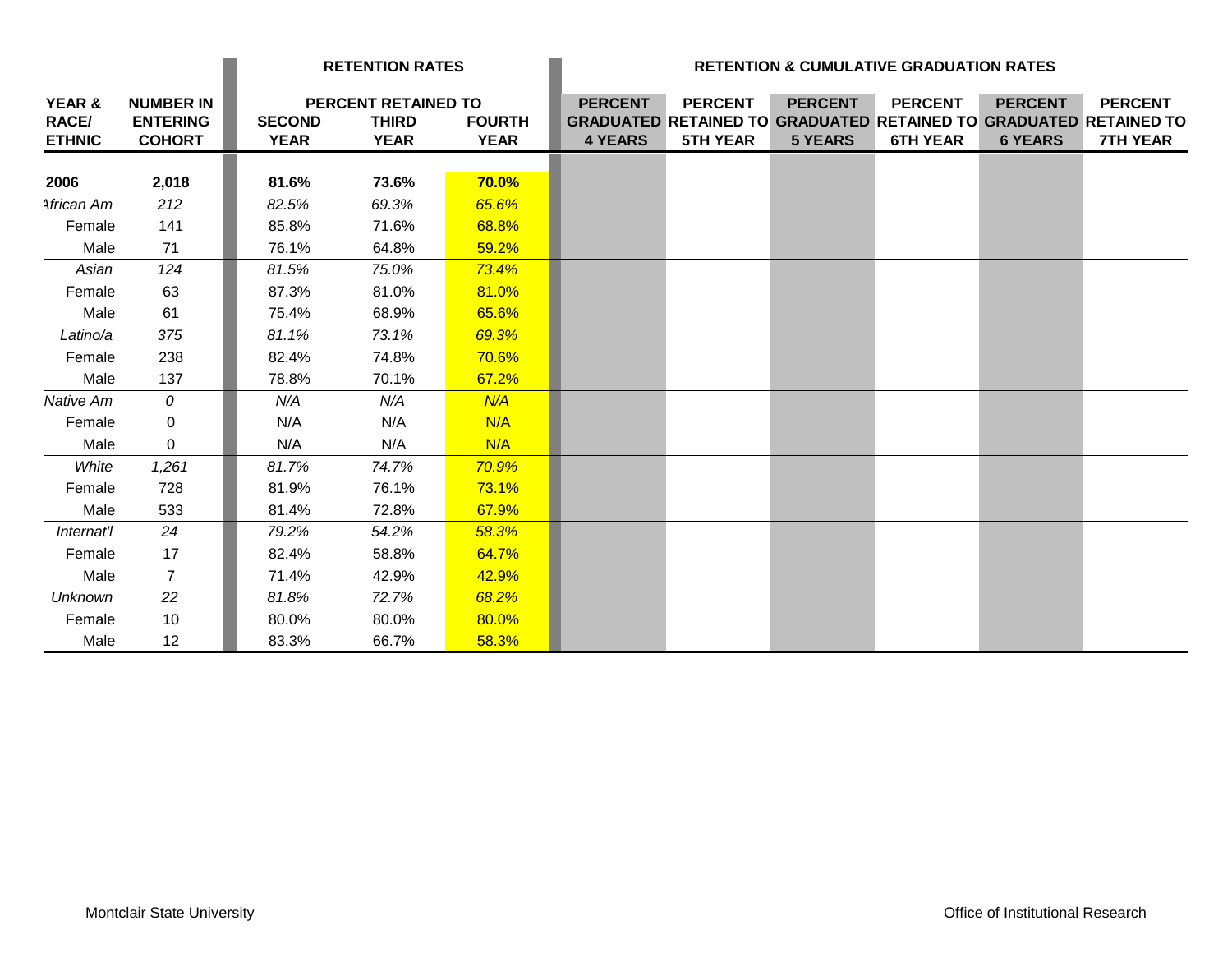|                                         |                                                      | <b>RETENTION RATES</b>       |                                                    |                              |                                  |                                   |                                  | <b>RETENTION &amp; CUMULATIVE GRADUATION RATES</b> |                                  |                                                                                                               |
|-----------------------------------------|------------------------------------------------------|------------------------------|----------------------------------------------------|------------------------------|----------------------------------|-----------------------------------|----------------------------------|----------------------------------------------------|----------------------------------|---------------------------------------------------------------------------------------------------------------|
| YEAR &<br><b>RACE/</b><br><b>ETHNIC</b> | <b>NUMBER IN</b><br><b>ENTERING</b><br><b>COHORT</b> | <b>SECOND</b><br><b>YEAR</b> | PERCENT RETAINED TO<br><b>THIRD</b><br><b>YEAR</b> | <b>FOURTH</b><br><b>YEAR</b> | <b>PERCENT</b><br><b>4 YEARS</b> | <b>PERCENT</b><br><b>5TH YEAR</b> | <b>PERCENT</b><br><b>5 YEARS</b> | <b>PERCENT</b><br><b>6TH YEAR</b>                  | <b>PERCENT</b><br><b>6 YEARS</b> | <b>PERCENT</b><br><b>GRADUATED RETAINED TO GRADUATED RETAINED TO GRADUATED RETAINED TO</b><br><b>7TH YEAR</b> |
| 2006                                    | 2,018                                                | 81.6%                        | 73.6%                                              | 70.0%                        |                                  |                                   |                                  |                                                    |                                  |                                                                                                               |
| African Am                              | 212                                                  | 82.5%                        | 69.3%                                              | 65.6%                        |                                  |                                   |                                  |                                                    |                                  |                                                                                                               |
| Female                                  | 141                                                  | 85.8%                        | 71.6%                                              | 68.8%                        |                                  |                                   |                                  |                                                    |                                  |                                                                                                               |
| Male                                    | 71                                                   | 76.1%                        | 64.8%                                              | 59.2%                        |                                  |                                   |                                  |                                                    |                                  |                                                                                                               |
| Asian                                   | 124                                                  | 81.5%                        | 75.0%                                              | 73.4%                        |                                  |                                   |                                  |                                                    |                                  |                                                                                                               |
| Female                                  | 63                                                   | 87.3%                        | 81.0%                                              | 81.0%                        |                                  |                                   |                                  |                                                    |                                  |                                                                                                               |
| Male                                    | 61                                                   | 75.4%                        | 68.9%                                              | 65.6%                        |                                  |                                   |                                  |                                                    |                                  |                                                                                                               |
| Latino/a                                | 375                                                  | 81.1%                        | 73.1%                                              | 69.3%                        |                                  |                                   |                                  |                                                    |                                  |                                                                                                               |
| Female                                  | 238                                                  | 82.4%                        | 74.8%                                              | 70.6%                        |                                  |                                   |                                  |                                                    |                                  |                                                                                                               |
| Male                                    | 137                                                  | 78.8%                        | 70.1%                                              | 67.2%                        |                                  |                                   |                                  |                                                    |                                  |                                                                                                               |
| Native Am                               | 0                                                    | N/A                          | N/A                                                | N/A                          |                                  |                                   |                                  |                                                    |                                  |                                                                                                               |
| Female                                  | $\mathbf 0$                                          | N/A                          | N/A                                                | N/A                          |                                  |                                   |                                  |                                                    |                                  |                                                                                                               |
| Male                                    | 0                                                    | N/A                          | N/A                                                | N/A                          |                                  |                                   |                                  |                                                    |                                  |                                                                                                               |
| White                                   | 1,261                                                | 81.7%                        | 74.7%                                              | 70.9%                        |                                  |                                   |                                  |                                                    |                                  |                                                                                                               |
| Female                                  | 728                                                  | 81.9%                        | 76.1%                                              | 73.1%                        |                                  |                                   |                                  |                                                    |                                  |                                                                                                               |
| Male                                    | 533                                                  | 81.4%                        | 72.8%                                              | 67.9%                        |                                  |                                   |                                  |                                                    |                                  |                                                                                                               |
| Internat'l                              | 24                                                   | 79.2%                        | 54.2%                                              | 58.3%                        |                                  |                                   |                                  |                                                    |                                  |                                                                                                               |
| Female                                  | 17                                                   | 82.4%                        | 58.8%                                              | 64.7%                        |                                  |                                   |                                  |                                                    |                                  |                                                                                                               |
| Male                                    | $\overline{7}$                                       | 71.4%                        | 42.9%                                              | 42.9%                        |                                  |                                   |                                  |                                                    |                                  |                                                                                                               |
| <b>Unknown</b>                          | 22                                                   | 81.8%                        | 72.7%                                              | 68.2%                        |                                  |                                   |                                  |                                                    |                                  |                                                                                                               |
| Female                                  | 10                                                   | 80.0%                        | 80.0%                                              | 80.0%                        |                                  |                                   |                                  |                                                    |                                  |                                                                                                               |
| Male                                    | 12                                                   | 83.3%                        | 66.7%                                              | 58.3%                        |                                  |                                   |                                  |                                                    |                                  |                                                                                                               |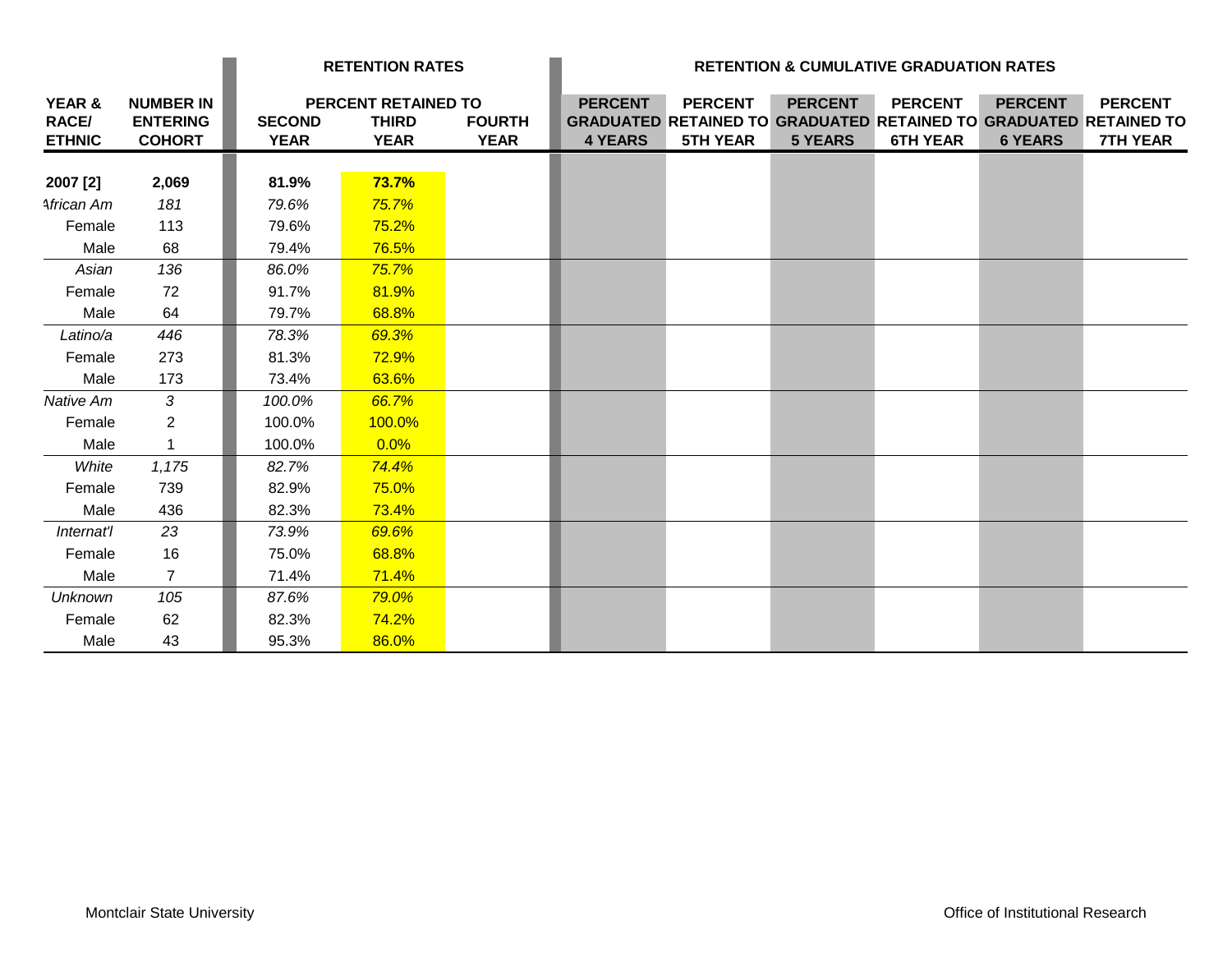|                                         |                                                      | <b>RETENTION RATES</b>       |                                                    |                              | <b>RETENTION &amp; CUMULATIVE GRADUATION RATES</b> |                                                                                                               |                                  |                                   |                                  |                                   |
|-----------------------------------------|------------------------------------------------------|------------------------------|----------------------------------------------------|------------------------------|----------------------------------------------------|---------------------------------------------------------------------------------------------------------------|----------------------------------|-----------------------------------|----------------------------------|-----------------------------------|
| YEAR &<br><b>RACE/</b><br><b>ETHNIC</b> | <b>NUMBER IN</b><br><b>ENTERING</b><br><b>COHORT</b> | <b>SECOND</b><br><b>YEAR</b> | PERCENT RETAINED TO<br><b>THIRD</b><br><b>YEAR</b> | <b>FOURTH</b><br><b>YEAR</b> | <b>PERCENT</b><br><b>4 YEARS</b>                   | <b>PERCENT</b><br><b>GRADUATED RETAINED TO GRADUATED RETAINED TO GRADUATED RETAINED TO</b><br><b>5TH YEAR</b> | <b>PERCENT</b><br><b>5 YEARS</b> | <b>PERCENT</b><br><b>6TH YEAR</b> | <b>PERCENT</b><br><b>6 YEARS</b> | <b>PERCENT</b><br><b>7TH YEAR</b> |
| 2007 [2]                                | 2,069                                                | 81.9%                        | 73.7%                                              |                              |                                                    |                                                                                                               |                                  |                                   |                                  |                                   |
| African Am                              | 181                                                  | 79.6%                        | 75.7%                                              |                              |                                                    |                                                                                                               |                                  |                                   |                                  |                                   |
| Female                                  | 113                                                  | 79.6%                        | 75.2%                                              |                              |                                                    |                                                                                                               |                                  |                                   |                                  |                                   |
| Male                                    | 68                                                   | 79.4%                        | 76.5%                                              |                              |                                                    |                                                                                                               |                                  |                                   |                                  |                                   |
| Asian                                   | 136                                                  | 86.0%                        | 75.7%                                              |                              |                                                    |                                                                                                               |                                  |                                   |                                  |                                   |
| Female                                  | 72                                                   | 91.7%                        | 81.9%                                              |                              |                                                    |                                                                                                               |                                  |                                   |                                  |                                   |
| Male                                    | 64                                                   | 79.7%                        | 68.8%                                              |                              |                                                    |                                                                                                               |                                  |                                   |                                  |                                   |
| Latino/a                                | 446                                                  | 78.3%                        | 69.3%                                              |                              |                                                    |                                                                                                               |                                  |                                   |                                  |                                   |
| Female                                  | 273                                                  | 81.3%                        | 72.9%                                              |                              |                                                    |                                                                                                               |                                  |                                   |                                  |                                   |
| Male                                    | 173                                                  | 73.4%                        | 63.6%                                              |                              |                                                    |                                                                                                               |                                  |                                   |                                  |                                   |
| Native Am                               | $\mathcal{S}$                                        | 100.0%                       | 66.7%                                              |                              |                                                    |                                                                                                               |                                  |                                   |                                  |                                   |
| Female                                  | $\overline{2}$                                       | 100.0%                       | 100.0%                                             |                              |                                                    |                                                                                                               |                                  |                                   |                                  |                                   |
| Male                                    | $\mathbf{1}$                                         | 100.0%                       | 0.0%                                               |                              |                                                    |                                                                                                               |                                  |                                   |                                  |                                   |
| White                                   | 1,175                                                | 82.7%                        | 74.4%                                              |                              |                                                    |                                                                                                               |                                  |                                   |                                  |                                   |
| Female                                  | 739                                                  | 82.9%                        | 75.0%                                              |                              |                                                    |                                                                                                               |                                  |                                   |                                  |                                   |
| Male                                    | 436                                                  | 82.3%                        | 73.4%                                              |                              |                                                    |                                                                                                               |                                  |                                   |                                  |                                   |
| Internat'l                              | 23                                                   | 73.9%                        | 69.6%                                              |                              |                                                    |                                                                                                               |                                  |                                   |                                  |                                   |
| Female                                  | 16                                                   | 75.0%                        | 68.8%                                              |                              |                                                    |                                                                                                               |                                  |                                   |                                  |                                   |
| Male                                    | $\overline{7}$                                       | 71.4%                        | 71.4%                                              |                              |                                                    |                                                                                                               |                                  |                                   |                                  |                                   |
| <b>Unknown</b>                          | 105                                                  | 87.6%                        | 79.0%                                              |                              |                                                    |                                                                                                               |                                  |                                   |                                  |                                   |
| Female                                  | 62                                                   | 82.3%                        | 74.2%                                              |                              |                                                    |                                                                                                               |                                  |                                   |                                  |                                   |
| Male                                    | 43                                                   | 95.3%                        | 86.0%                                              |                              |                                                    |                                                                                                               |                                  |                                   |                                  |                                   |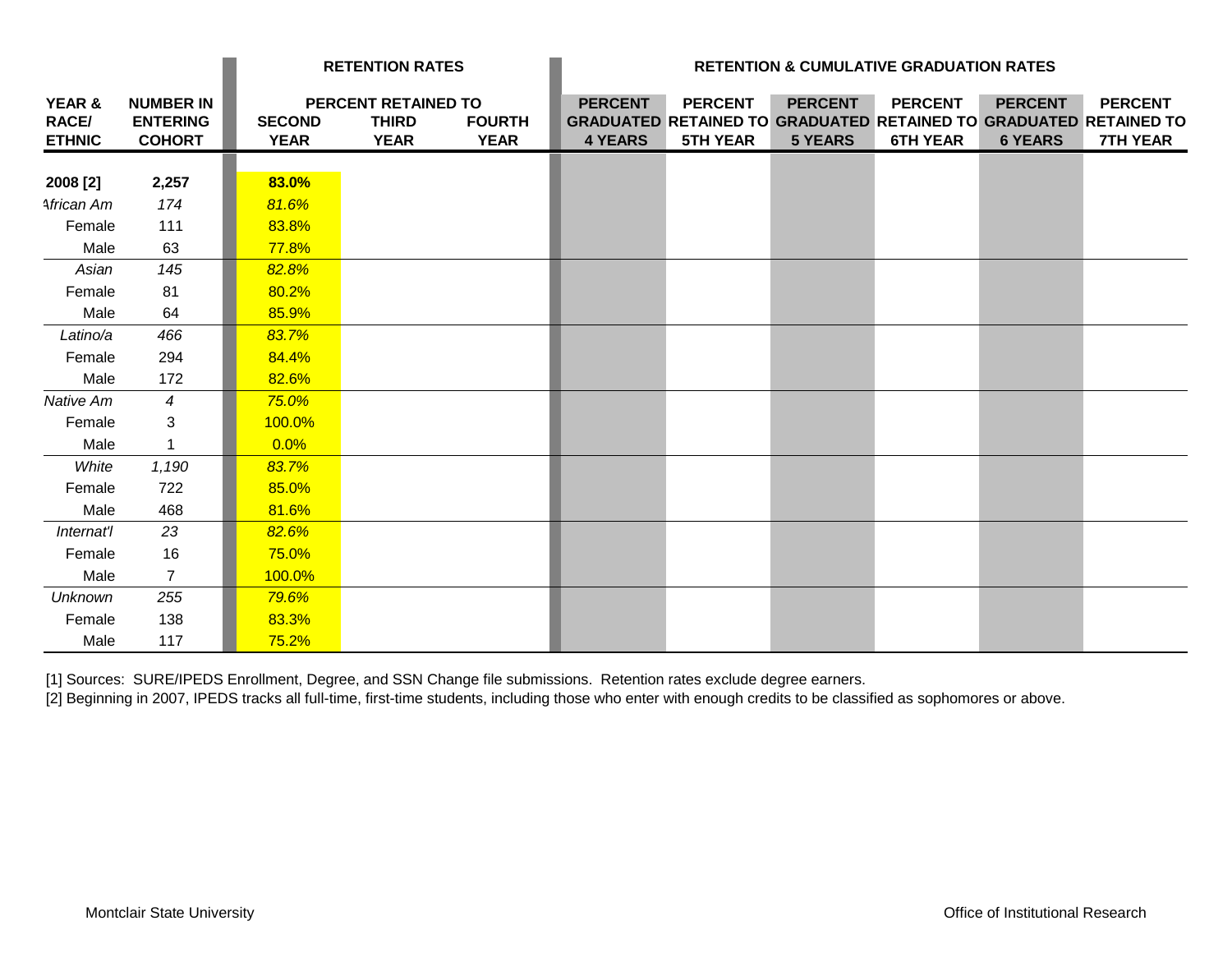|                                         |                                                      | <b>RETENTION RATES</b>       |                                                    |                              | <b>RETENTION &amp; CUMULATIVE GRADUATION RATES</b> |                                   |                                  |                                   |                                  |                                                                                                               |
|-----------------------------------------|------------------------------------------------------|------------------------------|----------------------------------------------------|------------------------------|----------------------------------------------------|-----------------------------------|----------------------------------|-----------------------------------|----------------------------------|---------------------------------------------------------------------------------------------------------------|
| YEAR &<br><b>RACE/</b><br><b>ETHNIC</b> | <b>NUMBER IN</b><br><b>ENTERING</b><br><b>COHORT</b> | <b>SECOND</b><br><b>YEAR</b> | PERCENT RETAINED TO<br><b>THIRD</b><br><b>YEAR</b> | <b>FOURTH</b><br><b>YEAR</b> | <b>PERCENT</b><br><b>4 YEARS</b>                   | <b>PERCENT</b><br><b>5TH YEAR</b> | <b>PERCENT</b><br><b>5 YEARS</b> | <b>PERCENT</b><br><b>6TH YEAR</b> | <b>PERCENT</b><br><b>6 YEARS</b> | <b>PERCENT</b><br><b>GRADUATED RETAINED TO GRADUATED RETAINED TO GRADUATED RETAINED TO</b><br><b>7TH YEAR</b> |
|                                         |                                                      |                              |                                                    |                              |                                                    |                                   |                                  |                                   |                                  |                                                                                                               |
| 2008 [2]                                | 2,257                                                | 83.0%                        |                                                    |                              |                                                    |                                   |                                  |                                   |                                  |                                                                                                               |
| African Am                              | 174                                                  | 81.6%                        |                                                    |                              |                                                    |                                   |                                  |                                   |                                  |                                                                                                               |
| Female                                  | 111                                                  | 83.8%                        |                                                    |                              |                                                    |                                   |                                  |                                   |                                  |                                                                                                               |
| Male                                    | 63                                                   | 77.8%                        |                                                    |                              |                                                    |                                   |                                  |                                   |                                  |                                                                                                               |
| Asian                                   | 145                                                  | 82.8%                        |                                                    |                              |                                                    |                                   |                                  |                                   |                                  |                                                                                                               |
| Female                                  | 81                                                   | 80.2%                        |                                                    |                              |                                                    |                                   |                                  |                                   |                                  |                                                                                                               |
| Male                                    | 64                                                   | 85.9%                        |                                                    |                              |                                                    |                                   |                                  |                                   |                                  |                                                                                                               |
| Latino/a                                | 466                                                  | 83.7%                        |                                                    |                              |                                                    |                                   |                                  |                                   |                                  |                                                                                                               |
| Female                                  | 294                                                  | 84.4%                        |                                                    |                              |                                                    |                                   |                                  |                                   |                                  |                                                                                                               |
| Male                                    | 172                                                  | 82.6%                        |                                                    |                              |                                                    |                                   |                                  |                                   |                                  |                                                                                                               |
| Native Am                               | $\overline{4}$                                       | 75.0%                        |                                                    |                              |                                                    |                                   |                                  |                                   |                                  |                                                                                                               |
| Female                                  | 3                                                    | 100.0%                       |                                                    |                              |                                                    |                                   |                                  |                                   |                                  |                                                                                                               |
| Male                                    | $\mathbf{1}$                                         | 0.0%                         |                                                    |                              |                                                    |                                   |                                  |                                   |                                  |                                                                                                               |
| White                                   | 1,190                                                | 83.7%                        |                                                    |                              |                                                    |                                   |                                  |                                   |                                  |                                                                                                               |
| Female                                  | 722                                                  | 85.0%                        |                                                    |                              |                                                    |                                   |                                  |                                   |                                  |                                                                                                               |
| Male                                    | 468                                                  | 81.6%                        |                                                    |                              |                                                    |                                   |                                  |                                   |                                  |                                                                                                               |
| Internat'l                              | 23                                                   | 82.6%                        |                                                    |                              |                                                    |                                   |                                  |                                   |                                  |                                                                                                               |
| Female                                  | 16                                                   | 75.0%                        |                                                    |                              |                                                    |                                   |                                  |                                   |                                  |                                                                                                               |
| Male                                    | $\overline{7}$                                       | 100.0%                       |                                                    |                              |                                                    |                                   |                                  |                                   |                                  |                                                                                                               |
| <b>Unknown</b>                          | 255                                                  | 79.6%                        |                                                    |                              |                                                    |                                   |                                  |                                   |                                  |                                                                                                               |
| Female                                  | 138                                                  | 83.3%                        |                                                    |                              |                                                    |                                   |                                  |                                   |                                  |                                                                                                               |
| Male                                    | 117                                                  | 75.2%                        |                                                    |                              |                                                    |                                   |                                  |                                   |                                  |                                                                                                               |

[1] Sources: SURE/IPEDS Enrollment, Degree, and SSN Change file submissions. Retention rates exclude degree earners.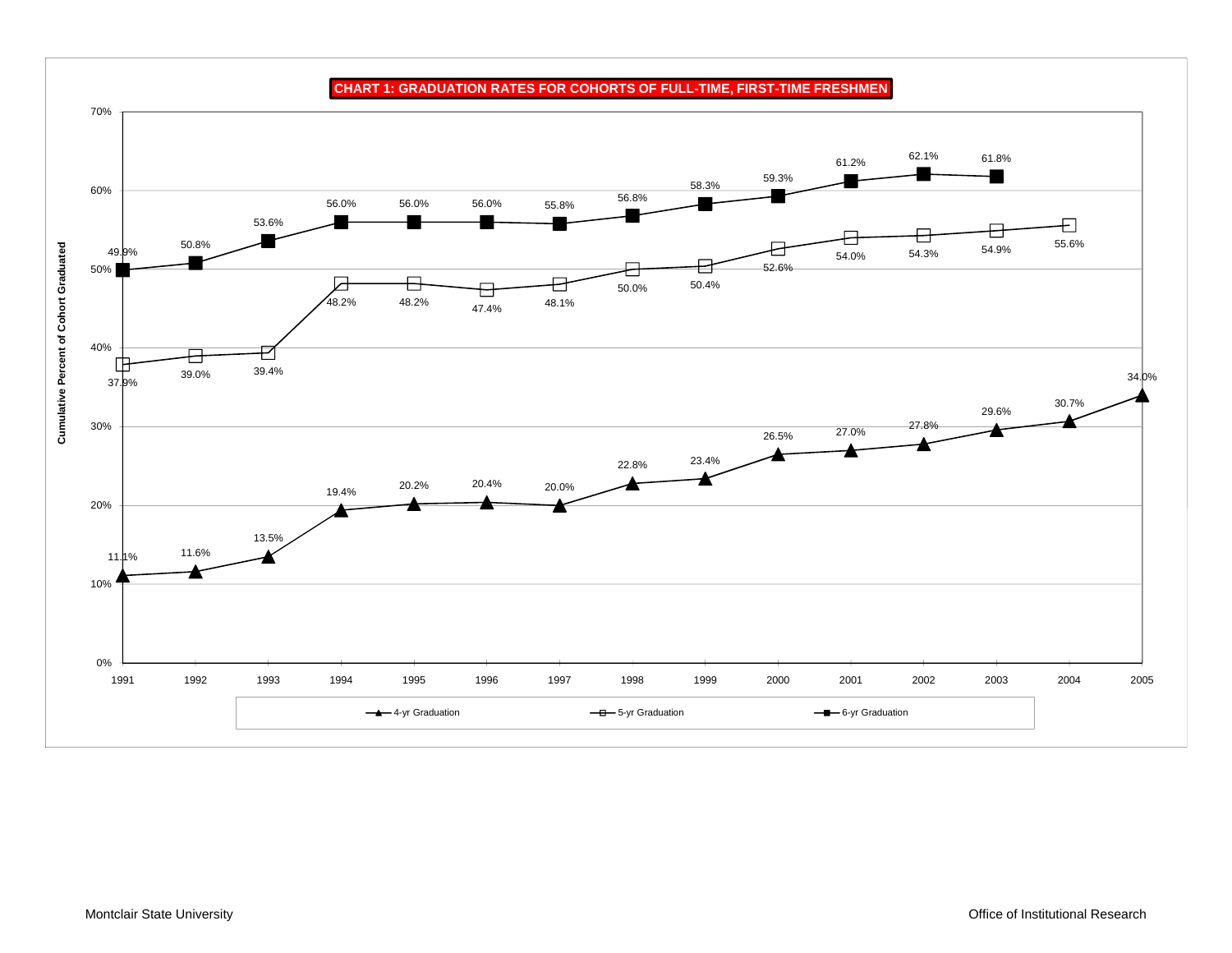

**CHART 1: GRADUATION RATES FOR COHORTS OF FULL-TIME, FIRST-TIME FRESHMEN**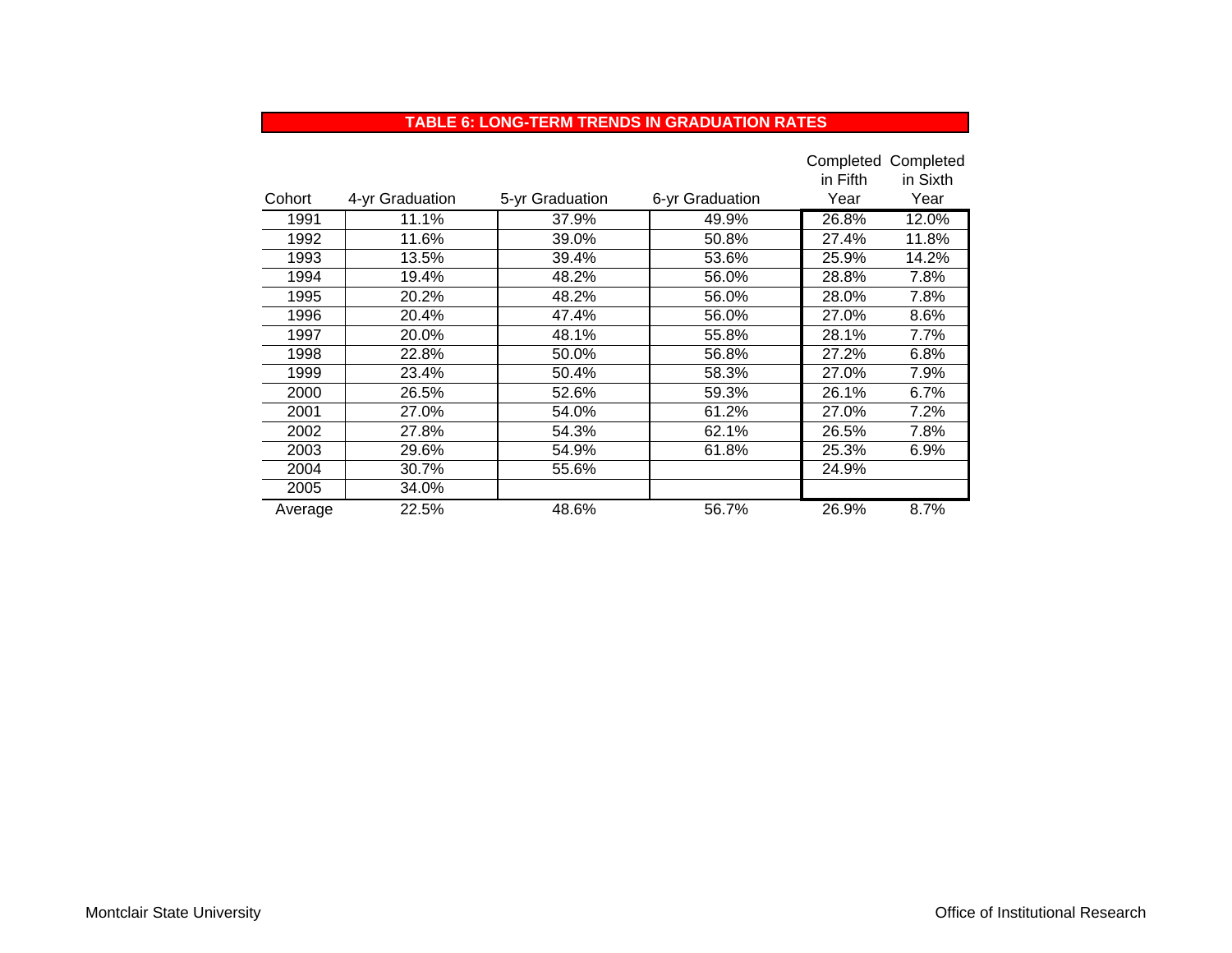#### **TABLE 6: LONG-TERM TRENDS IN GRADUATION RATES**

|         |                 |                 |                 |          | Completed Completed |
|---------|-----------------|-----------------|-----------------|----------|---------------------|
|         |                 |                 |                 | in Fifth | in Sixth            |
| Cohort  | 4-yr Graduation | 5-yr Graduation | 6-yr Graduation | Year     | Year                |
| 1991    | 11.1%           | 37.9%           | 49.9%           | 26.8%    | 12.0%               |
| 1992    | 11.6%           | 39.0%           | 50.8%           | 27.4%    | 11.8%               |
| 1993    | 13.5%           | 39.4%           | 53.6%           | 25.9%    | 14.2%               |
| 1994    | 19.4%           | 48.2%           | 56.0%           | 28.8%    | 7.8%                |
| 1995    | 20.2%           | 48.2%           | 56.0%           | 28.0%    | 7.8%                |
| 1996    | 20.4%           | 47.4%           | 56.0%           | 27.0%    | 8.6%                |
| 1997    | 20.0%           | 48.1%           | 55.8%           | 28.1%    | $7.7\%$             |
| 1998    | 22.8%           | 50.0%           | 56.8%           | 27.2%    | 6.8%                |
| 1999    | 23.4%           | 50.4%           | 58.3%           | 27.0%    | 7.9%                |
| 2000    | 26.5%           | 52.6%           | 59.3%           | 26.1%    | 6.7%                |
| 2001    | 27.0%           | 54.0%           | 61.2%           | 27.0%    | 7.2%                |
| 2002    | 27.8%           | 54.3%           | 62.1%           | 26.5%    | 7.8%                |
| 2003    | 29.6%           | 54.9%           | 61.8%           | 25.3%    | 6.9%                |
| 2004    | 30.7%           | 55.6%           |                 | 24.9%    |                     |
| 2005    | 34.0%           |                 |                 |          |                     |
| Average | 22.5%           | 48.6%           | 56.7%           | 26.9%    | 8.7%                |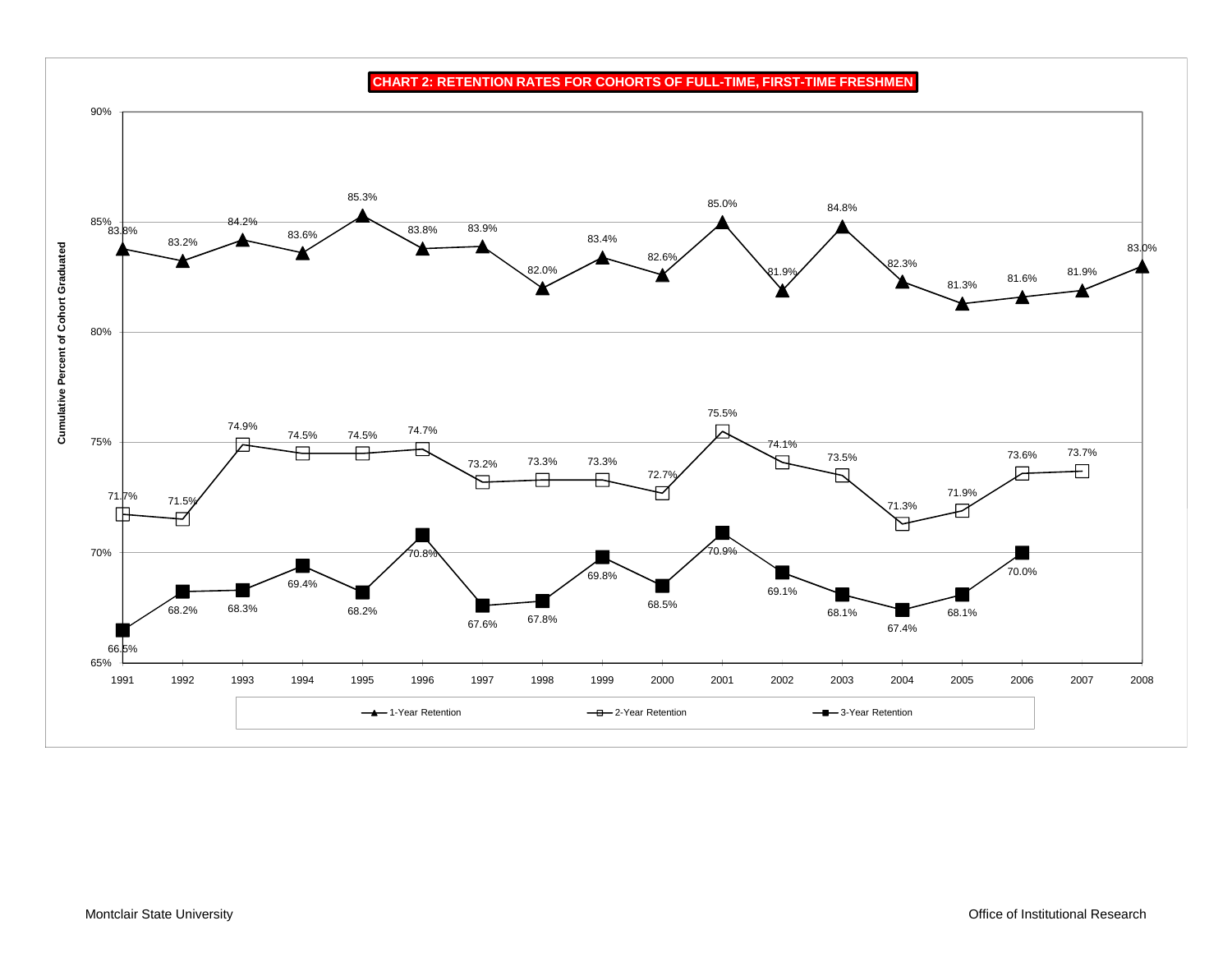**CHART 2: RETENTION RATES FOR COHORTS OF FULL-TIME, FIRST-TIME FRESHMEN**

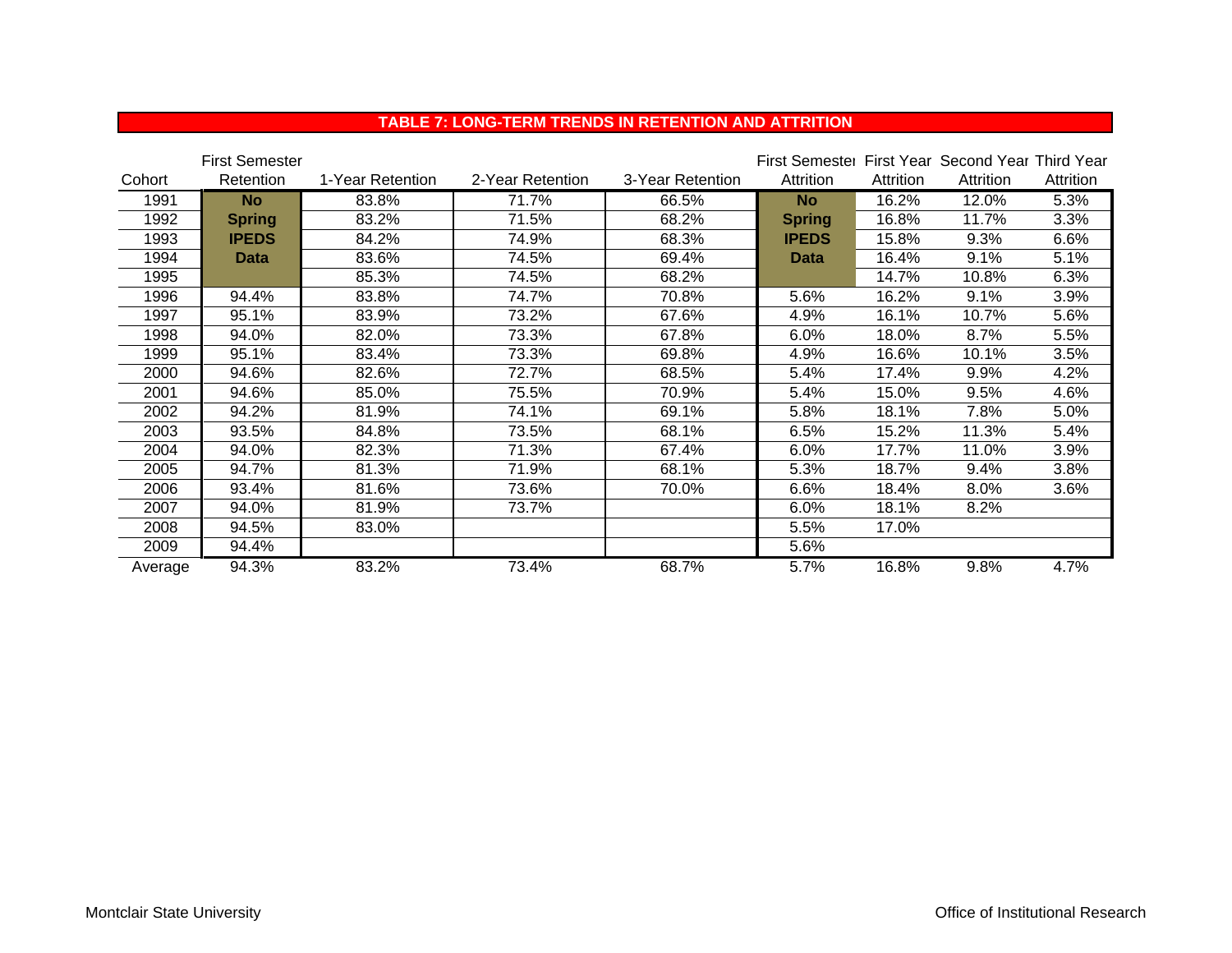|         | <b>First Semester</b> |                  |                  |                  | First Semester First Year Second Year Third Year |           |           |           |
|---------|-----------------------|------------------|------------------|------------------|--------------------------------------------------|-----------|-----------|-----------|
| Cohort  | <b>Retention</b>      | 1-Year Retention | 2-Year Retention | 3-Year Retention | Attrition                                        | Attrition | Attrition | Attrition |
| 1991    | <b>No</b>             | 83.8%            | 71.7%            | 66.5%            | <b>No</b>                                        | 16.2%     | 12.0%     | 5.3%      |
| 1992    | <b>Spring</b>         | 83.2%            | 71.5%            | 68.2%            | <b>Spring</b>                                    | 16.8%     | 11.7%     | 3.3%      |
| 1993    | <b>IPEDS</b>          | 84.2%            | 74.9%            | 68.3%            | <b>IPEDS</b>                                     | 15.8%     | 9.3%      | 6.6%      |
| 1994    | <b>Data</b>           | 83.6%            | 74.5%            | 69.4%            | <b>Data</b>                                      | 16.4%     | 9.1%      | 5.1%      |
| 1995    |                       | 85.3%            | 74.5%            | 68.2%            |                                                  | 14.7%     | 10.8%     | 6.3%      |
| 1996    | 94.4%                 | 83.8%            | 74.7%            | 70.8%            | 5.6%                                             | 16.2%     | 9.1%      | 3.9%      |
| 1997    | 95.1%                 | 83.9%            | 73.2%            | 67.6%            | 4.9%                                             | 16.1%     | 10.7%     | 5.6%      |
| 1998    | 94.0%                 | 82.0%            | 73.3%            | 67.8%            | 6.0%                                             | 18.0%     | 8.7%      | 5.5%      |
| 1999    | 95.1%                 | 83.4%            | 73.3%            | 69.8%            | 4.9%                                             | 16.6%     | 10.1%     | 3.5%      |
| 2000    | 94.6%                 | 82.6%            | 72.7%            | 68.5%            | 5.4%                                             | 17.4%     | 9.9%      | 4.2%      |
| 2001    | 94.6%                 | 85.0%            | 75.5%            | 70.9%            | 5.4%                                             | 15.0%     | 9.5%      | 4.6%      |
| 2002    | 94.2%                 | 81.9%            | 74.1%            | 69.1%            | 5.8%                                             | 18.1%     | 7.8%      | 5.0%      |
| 2003    | 93.5%                 | 84.8%            | 73.5%            | 68.1%            | 6.5%                                             | 15.2%     | 11.3%     | 5.4%      |
| 2004    | 94.0%                 | 82.3%            | 71.3%            | 67.4%            | 6.0%                                             | 17.7%     | 11.0%     | 3.9%      |
| 2005    | 94.7%                 | 81.3%            | 71.9%            | 68.1%            | 5.3%                                             | 18.7%     | 9.4%      | 3.8%      |
| 2006    | 93.4%                 | 81.6%            | 73.6%            | 70.0%            | 6.6%                                             | 18.4%     | 8.0%      | 3.6%      |
| 2007    | 94.0%                 | 81.9%            | 73.7%            |                  | 6.0%                                             | 18.1%     | 8.2%      |           |
| 2008    | 94.5%                 | 83.0%            |                  |                  | 5.5%                                             | 17.0%     |           |           |
| 2009    | 94.4%                 |                  |                  |                  | 5.6%                                             |           |           |           |
| Average | 94.3%                 | 83.2%            | 73.4%            | 68.7%            | 5.7%                                             | 16.8%     | 9.8%      | 4.7%      |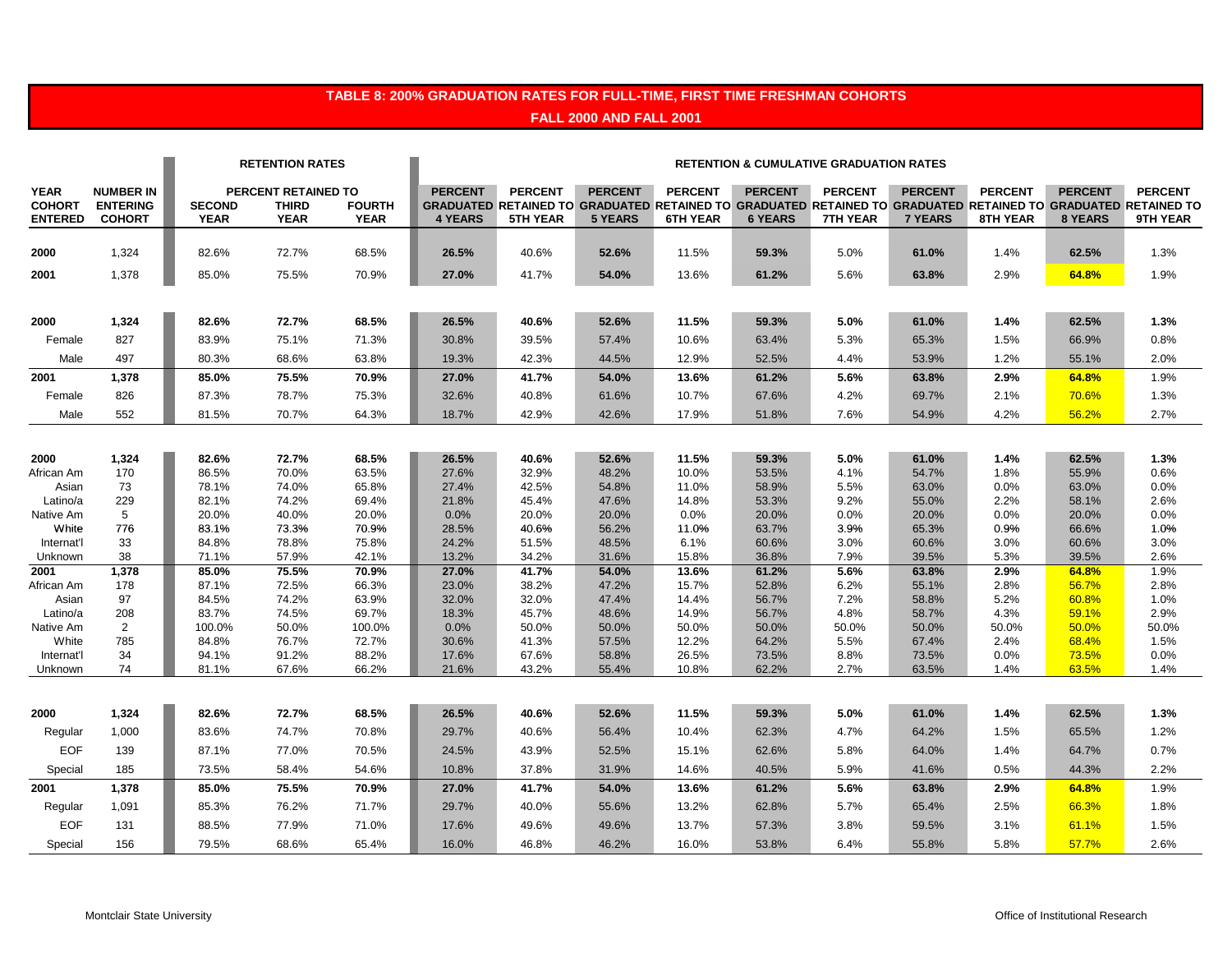#### **TABLE 8: 200% GRADUATION RATES FOR FULL-TIME, FIRST TIME FRESHMAN COHORTS FALL 2000 AND FALL 2001**

|                                                |                                                      |                              | <b>RETENTION RATES</b>                             |                              | <b>RETENTION &amp; CUMULATIVE GRADUATION RATES</b> |                                   |                                  |                                                                                                                                                    |                                  |                                   |                                  |                            |                           |                            |
|------------------------------------------------|------------------------------------------------------|------------------------------|----------------------------------------------------|------------------------------|----------------------------------------------------|-----------------------------------|----------------------------------|----------------------------------------------------------------------------------------------------------------------------------------------------|----------------------------------|-----------------------------------|----------------------------------|----------------------------|---------------------------|----------------------------|
| <b>YEAR</b><br><b>COHORT</b><br><b>ENTERED</b> | <b>NUMBER IN</b><br><b>ENTERING</b><br><b>COHORT</b> | <b>SECOND</b><br><b>YEAR</b> | PERCENT RETAINED TO<br><b>THIRD</b><br><b>YEAR</b> | <b>FOURTH</b><br><b>YEAR</b> | <b>PERCENT</b><br><b>4 YEARS</b>                   | <b>PERCENT</b><br><b>5TH YEAR</b> | <b>PERCENT</b><br><b>5 YEARS</b> | <b>PERCENT</b><br>GRADUATED RETAINED TO GRADUATED RETAINED TO GRADUATED RETAINED TO GRADUATED RETAINED TO GRADUATED RETAINED TO<br><b>6TH YEAR</b> | <b>PERCENT</b><br><b>6 YEARS</b> | <b>PERCENT</b><br><b>7TH YEAR</b> | <b>PERCENT</b><br><b>7 YEARS</b> | <b>PERCENT</b><br>8TH YEAR | <b>PERCENT</b><br>8 YEARS | <b>PERCENT</b><br>9TH YEAR |
| 2000                                           | 1,324                                                | 82.6%                        | 72.7%                                              | 68.5%                        | 26.5%                                              | 40.6%                             | 52.6%                            | 11.5%                                                                                                                                              | 59.3%                            | 5.0%                              | 61.0%                            | 1.4%                       | 62.5%                     | 1.3%                       |
| 2001                                           | 1,378                                                | 85.0%                        | 75.5%                                              | 70.9%                        | 27.0%                                              | 41.7%                             | 54.0%                            | 13.6%                                                                                                                                              | 61.2%                            | 5.6%                              | 63.8%                            | 2.9%                       | 64.8%                     | 1.9%                       |
| 2000                                           | 1,324                                                | 82.6%                        | 72.7%                                              | 68.5%                        | 26.5%                                              | 40.6%                             | 52.6%                            | 11.5%                                                                                                                                              | 59.3%                            | 5.0%                              | 61.0%                            | 1.4%                       | 62.5%                     | 1.3%                       |
| Female                                         | 827                                                  | 83.9%                        | 75.1%                                              | 71.3%                        | 30.8%                                              | 39.5%                             | 57.4%                            | 10.6%                                                                                                                                              | 63.4%                            | 5.3%                              | 65.3%                            | 1.5%                       | 66.9%                     | 0.8%                       |
| Male<br>2001                                   | 497<br>1,378                                         | 80.3%<br>85.0%               | 68.6%<br>75.5%                                     | 63.8%<br>70.9%               | 19.3%<br>27.0%                                     | 42.3%<br>41.7%                    | 44.5%<br>54.0%                   | 12.9%<br>13.6%                                                                                                                                     | 52.5%<br>61.2%                   | 4.4%<br>5.6%                      | 53.9%<br>63.8%                   | 1.2%<br>2.9%               | 55.1%<br>64.8%            | 2.0%<br>1.9%               |
| Female                                         | 826                                                  | 87.3%                        | 78.7%                                              | 75.3%                        | 32.6%                                              | 40.8%                             | 61.6%                            | 10.7%                                                                                                                                              | 67.6%                            | 4.2%                              | 69.7%                            | 2.1%                       | 70.6%                     | 1.3%                       |
| Male                                           | 552                                                  | 81.5%                        | 70.7%                                              | 64.3%                        | 18.7%                                              | 42.9%                             | 42.6%                            | 17.9%                                                                                                                                              | 51.8%                            | 7.6%                              | 54.9%                            | 4.2%                       | 56.2%                     | 2.7%                       |
|                                                |                                                      |                              |                                                    |                              |                                                    |                                   |                                  |                                                                                                                                                    |                                  |                                   |                                  |                            |                           |                            |
| 2000<br>African Am                             | 1,324<br>170                                         | 82.6%<br>86.5%               | 72.7%<br>70.0%                                     | 68.5%<br>63.5%               | 26.5%<br>27.6%                                     | 40.6%<br>32.9%                    | 52.6%<br>48.2%                   | 11.5%<br>10.0%                                                                                                                                     | 59.3%<br>53.5%                   | 5.0%<br>4.1%                      | 61.0%<br>54.7%                   | 1.4%<br>1.8%               | 62.5%<br>55.9%            | 1.3%<br>0.6%               |
| Asian<br>Latino/a                              | 73<br>229                                            | 78.1%<br>82.1%               | 74.0%<br>74.2%                                     | 65.8%<br>69.4%               | 27.4%<br>21.8%                                     | 42.5%<br>45.4%                    | 54.8%<br>47.6%                   | 11.0%<br>14.8%                                                                                                                                     | 58.9%<br>53.3%                   | 5.5%<br>9.2%                      | 63.0%<br>55.0%                   | 0.0%<br>2.2%               | 63.0%<br>58.1%            | 0.0%<br>2.6%               |
| Native Am                                      | 5                                                    | 20.0%                        | 40.0%                                              | 20.0%                        | 0.0%                                               | 20.0%                             | 20.0%                            | 0.0%                                                                                                                                               | 20.0%                            | 0.0%                              | 20.0%                            | 0.0%                       | 20.0%                     | 0.0%                       |
| White                                          | 776                                                  | 83.1%                        | 73.3%                                              | 70.9%                        | 28.5%                                              | 40.6%                             | 56.2%                            | 11.0%                                                                                                                                              | 63.7%                            | 3.9%                              | 65.3%                            | 0.9%                       | 66.6%                     | 1.0%                       |
| Internat'l                                     | 33                                                   | 84.8%                        | 78.8%                                              | 75.8%                        | 24.2%                                              | 51.5%                             | 48.5%                            | 6.1%                                                                                                                                               | 60.6%                            | 3.0%                              | 60.6%                            | 3.0%                       | 60.6%                     | 3.0%                       |
| Unknown                                        | 38                                                   | 71.1%                        | 57.9%                                              | 42.1%                        | 13.2%                                              | 34.2%                             | 31.6%                            | 15.8%                                                                                                                                              | 36.8%                            | 7.9%                              | 39.5%                            | 5.3%                       | 39.5%                     | 2.6%                       |
| 2001                                           | 1,378                                                | 85.0%                        | 75.5%                                              | 70.9%                        | 27.0%                                              | 41.7%                             | 54.0%                            | 13.6%                                                                                                                                              | 61.2%                            | 5.6%                              | 63.8%                            | 2.9%                       | 64.8%                     | 1.9%                       |
| African Am<br>Asian                            | 178<br>97                                            | 87.1%<br>84.5%               | 72.5%<br>74.2%                                     | 66.3%<br>63.9%               | 23.0%<br>32.0%                                     | 38.2%<br>32.0%                    | 47.2%<br>47.4%                   | 15.7%<br>14.4%                                                                                                                                     | 52.8%<br>56.7%                   | 6.2%<br>7.2%                      | 55.1%<br>58.8%                   | 2.8%<br>5.2%               | 56.7%<br>60.8%            | 2.8%<br>1.0%               |
| Latino/a                                       | 208                                                  | 83.7%                        | 74.5%                                              | 69.7%                        | 18.3%                                              | 45.7%                             | 48.6%                            | 14.9%                                                                                                                                              | 56.7%                            | 4.8%                              | 58.7%                            | 4.3%                       | 59.1%                     | 2.9%                       |
| Native Am                                      | 2                                                    | 100.0%                       | 50.0%                                              | 100.0%                       | 0.0%                                               | 50.0%                             | 50.0%                            | 50.0%                                                                                                                                              | 50.0%                            | 50.0%                             | 50.0%                            | 50.0%                      | 50.0%                     | 50.0%                      |
| White                                          | 785                                                  | 84.8%                        | 76.7%                                              | 72.7%                        | 30.6%                                              | 41.3%                             | 57.5%                            | 12.2%                                                                                                                                              | 64.2%                            | 5.5%                              | 67.4%                            | 2.4%                       | 68.4%                     | 1.5%                       |
| Internat'l                                     | 34                                                   | 94.1%                        | 91.2%                                              | 88.2%                        | 17.6%                                              | 67.6%                             | 58.8%                            | 26.5%                                                                                                                                              | 73.5%                            | 8.8%                              | 73.5%                            | 0.0%                       | 73.5%                     | 0.0%                       |
| Unknown                                        | 74                                                   | 81.1%                        | 67.6%                                              | 66.2%                        | 21.6%                                              | 43.2%                             | 55.4%                            | 10.8%                                                                                                                                              | 62.2%                            | 2.7%                              | 63.5%                            | 1.4%                       | 63.5%                     | 1.4%                       |
| 2000                                           | 1,324                                                | 82.6%                        | 72.7%                                              | 68.5%                        | 26.5%                                              | 40.6%                             | 52.6%                            | 11.5%                                                                                                                                              | 59.3%                            | 5.0%                              | 61.0%                            | 1.4%                       | 62.5%                     | 1.3%                       |
| Regular                                        | 1,000                                                | 83.6%                        | 74.7%                                              | 70.8%                        | 29.7%                                              | 40.6%                             | 56.4%                            | 10.4%                                                                                                                                              | 62.3%                            | 4.7%                              | 64.2%                            | 1.5%                       | 65.5%                     | 1.2%                       |
| <b>EOF</b>                                     | 139                                                  | 87.1%                        | 77.0%                                              | 70.5%                        | 24.5%                                              | 43.9%                             | 52.5%                            | 15.1%                                                                                                                                              | 62.6%                            | 5.8%                              | 64.0%                            | 1.4%                       | 64.7%                     | 0.7%                       |
| Special                                        | 185                                                  | 73.5%                        | 58.4%                                              | 54.6%                        | 10.8%                                              | 37.8%                             | 31.9%                            | 14.6%                                                                                                                                              | 40.5%                            | 5.9%                              | 41.6%                            | 0.5%                       | 44.3%                     | 2.2%                       |
| 2001                                           | 1,378                                                | 85.0%                        | 75.5%                                              | 70.9%                        | 27.0%                                              | 41.7%                             | 54.0%                            | 13.6%                                                                                                                                              | 61.2%                            | 5.6%                              | 63.8%                            | 2.9%                       | 64.8%                     | 1.9%                       |
| Regular                                        | 1,091                                                | 85.3%                        | 76.2%                                              | 71.7%                        | 29.7%                                              | 40.0%                             | 55.6%                            | 13.2%                                                                                                                                              | 62.8%                            | 5.7%                              | 65.4%                            | 2.5%                       | 66.3%                     | 1.8%                       |
| <b>EOF</b>                                     | 131                                                  | 88.5%                        | 77.9%                                              | 71.0%                        | 17.6%                                              | 49.6%                             | 49.6%                            | 13.7%                                                                                                                                              | 57.3%                            | 3.8%                              | 59.5%                            | 3.1%                       | 61.1%                     | 1.5%                       |
| Special                                        | 156                                                  | 79.5%                        | 68.6%                                              | 65.4%                        | 16.0%                                              | 46.8%                             | 46.2%                            | 16.0%                                                                                                                                              | 53.8%                            | 6.4%                              | 55.8%                            | 5.8%                       | 57.7%                     | 2.6%                       |